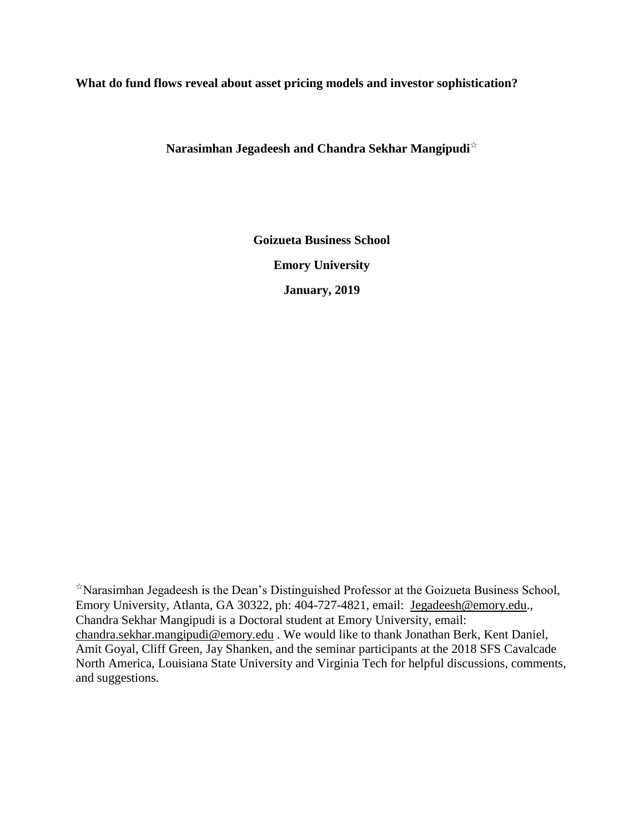#### **What do fund flows reveal about asset pricing models and investor sophistication?**

**Narasimhan Jegadeesh and Chandra Sekhar Mangipudi**☆

**Goizueta Business School Emory University January, 2019**

☆Narasimhan Jegadeesh is the Dean's Distinguished Professor at the Goizueta Business School, Emory University, Atlanta, GA 30322, ph: 404-727-4821, email: [Jegadeesh@emory.edu.](mailto:Jegadeesh@emory.edu), Chandra Sekhar Mangipudi is a Doctoral student at Emory University, email: [chandra.sekhar.mangipudi@emory.edu](mailto:chandra.sekhar.mangipudi@emory.edu) . We would like to thank Jonathan Berk, Kent Daniel, Amit Goyal, Cliff Green, Jay Shanken, and the seminar participants at the 2018 SFS Cavalcade North America, Louisiana State University and Virginia Tech for helpful discussions, comments, and suggestions.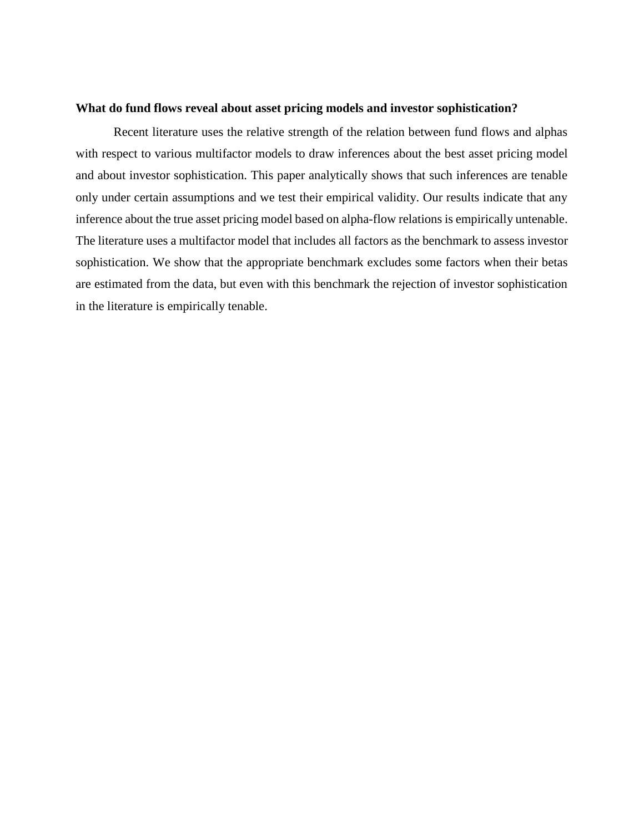#### **What do fund flows reveal about asset pricing models and investor sophistication?**

Recent literature uses the relative strength of the relation between fund flows and alphas with respect to various multifactor models to draw inferences about the best asset pricing model and about investor sophistication. This paper analytically shows that such inferences are tenable only under certain assumptions and we test their empirical validity. Our results indicate that any inference about the true asset pricing model based on alpha-flow relations is empirically untenable. The literature uses a multifactor model that includes all factors as the benchmark to assess investor sophistication. We show that the appropriate benchmark excludes some factors when their betas are estimated from the data, but even with this benchmark the rejection of investor sophistication in the literature is empirically tenable.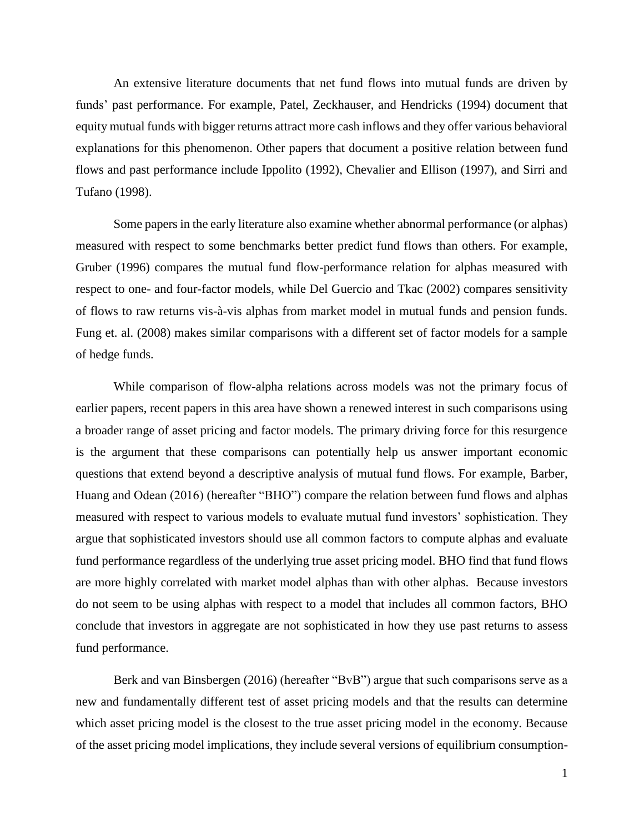An extensive literature documents that net fund flows into mutual funds are driven by funds' past performance. For example, Patel, Zeckhauser, and Hendricks (1994) document that equity mutual funds with bigger returns attract more cash inflows and they offer various behavioral explanations for this phenomenon. Other papers that document a positive relation between fund flows and past performance include Ippolito (1992), Chevalier and Ellison (1997), and Sirri and Tufano (1998).

Some papers in the early literature also examine whether abnormal performance (or alphas) measured with respect to some benchmarks better predict fund flows than others. For example, Gruber (1996) compares the mutual fund flow-performance relation for alphas measured with respect to one- and four-factor models, while Del Guercio and Tkac (2002) compares sensitivity of flows to raw returns vis-à-vis alphas from market model in mutual funds and pension funds. Fung et. al. (2008) makes similar comparisons with a different set of factor models for a sample of hedge funds.

While comparison of flow-alpha relations across models was not the primary focus of earlier papers, recent papers in this area have shown a renewed interest in such comparisons using a broader range of asset pricing and factor models. The primary driving force for this resurgence is the argument that these comparisons can potentially help us answer important economic questions that extend beyond a descriptive analysis of mutual fund flows. For example, Barber, Huang and Odean (2016) (hereafter "BHO") compare the relation between fund flows and alphas measured with respect to various models to evaluate mutual fund investors' sophistication. They argue that sophisticated investors should use all common factors to compute alphas and evaluate fund performance regardless of the underlying true asset pricing model. BHO find that fund flows are more highly correlated with market model alphas than with other alphas. Because investors do not seem to be using alphas with respect to a model that includes all common factors, BHO conclude that investors in aggregate are not sophisticated in how they use past returns to assess fund performance.

Berk and van Binsbergen (2016) (hereafter "BvB") argue that such comparisons serve as a new and fundamentally different test of asset pricing models and that the results can determine which asset pricing model is the closest to the true asset pricing model in the economy. Because of the asset pricing model implications, they include several versions of equilibrium consumption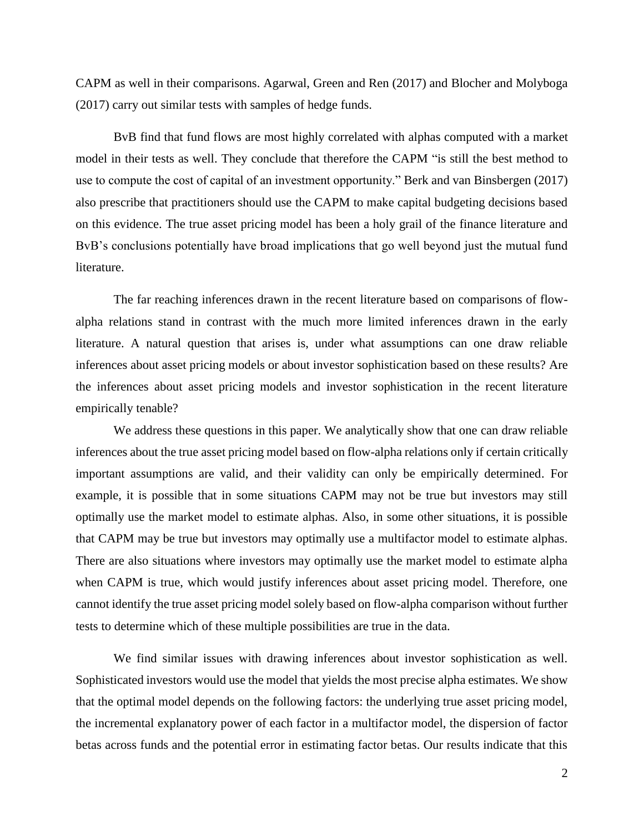CAPM as well in their comparisons. Agarwal, Green and Ren (2017) and Blocher and Molyboga (2017) carry out similar tests with samples of hedge funds.

BvB find that fund flows are most highly correlated with alphas computed with a market model in their tests as well. They conclude that therefore the CAPM "is still the best method to use to compute the cost of capital of an investment opportunity." Berk and van Binsbergen (2017) also prescribe that practitioners should use the CAPM to make capital budgeting decisions based on this evidence. The true asset pricing model has been a holy grail of the finance literature and BvB's conclusions potentially have broad implications that go well beyond just the mutual fund literature.

The far reaching inferences drawn in the recent literature based on comparisons of flowalpha relations stand in contrast with the much more limited inferences drawn in the early literature. A natural question that arises is, under what assumptions can one draw reliable inferences about asset pricing models or about investor sophistication based on these results? Are the inferences about asset pricing models and investor sophistication in the recent literature empirically tenable?

We address these questions in this paper. We analytically show that one can draw reliable inferences about the true asset pricing model based on flow-alpha relations only if certain critically important assumptions are valid, and their validity can only be empirically determined. For example, it is possible that in some situations CAPM may not be true but investors may still optimally use the market model to estimate alphas. Also, in some other situations, it is possible that CAPM may be true but investors may optimally use a multifactor model to estimate alphas. There are also situations where investors may optimally use the market model to estimate alpha when CAPM is true, which would justify inferences about asset pricing model. Therefore, one cannot identify the true asset pricing model solely based on flow-alpha comparison without further tests to determine which of these multiple possibilities are true in the data.

We find similar issues with drawing inferences about investor sophistication as well. Sophisticated investors would use the model that yields the most precise alpha estimates. We show that the optimal model depends on the following factors: the underlying true asset pricing model, the incremental explanatory power of each factor in a multifactor model, the dispersion of factor betas across funds and the potential error in estimating factor betas. Our results indicate that this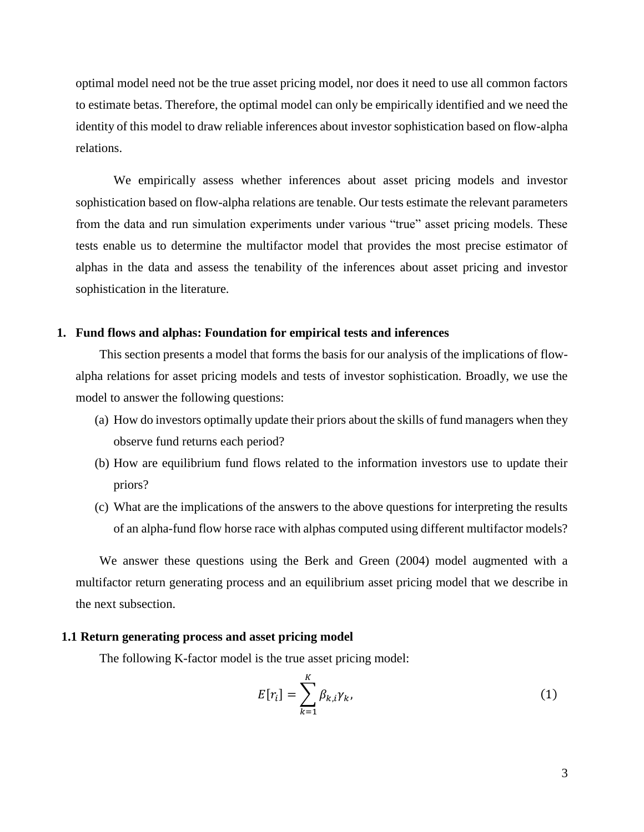optimal model need not be the true asset pricing model, nor does it need to use all common factors to estimate betas. Therefore, the optimal model can only be empirically identified and we need the identity of this model to draw reliable inferences about investor sophistication based on flow-alpha relations.

We empirically assess whether inferences about asset pricing models and investor sophistication based on flow-alpha relations are tenable. Our tests estimate the relevant parameters from the data and run simulation experiments under various "true" asset pricing models. These tests enable us to determine the multifactor model that provides the most precise estimator of alphas in the data and assess the tenability of the inferences about asset pricing and investor sophistication in the literature.

#### **1. Fund flows and alphas: Foundation for empirical tests and inferences**

This section presents a model that forms the basis for our analysis of the implications of flowalpha relations for asset pricing models and tests of investor sophistication. Broadly, we use the model to answer the following questions:

- (a) How do investors optimally update their priors about the skills of fund managers when they observe fund returns each period?
- (b) How are equilibrium fund flows related to the information investors use to update their priors?
- (c) What are the implications of the answers to the above questions for interpreting the results of an alpha-fund flow horse race with alphas computed using different multifactor models?

We answer these questions using the Berk and Green (2004) model augmented with a multifactor return generating process and an equilibrium asset pricing model that we describe in the next subsection.

#### **1.1 Return generating process and asset pricing model**

The following K-factor model is the true asset pricing model:

$$
E[r_i] = \sum_{k=1}^{K} \beta_{k,i} \gamma_k,
$$
\n(1)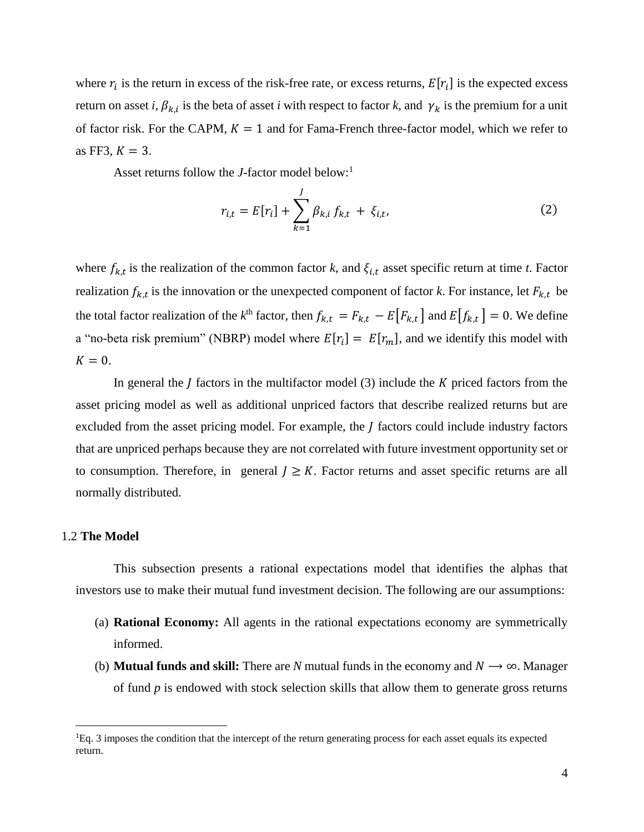where  $r_i$  is the return in excess of the risk-free rate, or excess returns,  $E[r_i]$  is the expected excess return on asset *i*,  $\beta_{k,i}$  is the beta of asset *i* with respect to factor *k*, and  $\gamma_k$  is the premium for a unit of factor risk. For the CAPM,  $K = 1$  and for Fama-French three-factor model, which we refer to as FF3,  $K = 3$ .

Asset returns follow the *J*-factor model below: 1

$$
r_{i,t} = E[r_i] + \sum_{k=1}^{J} \beta_{k,i} f_{k,t} + \xi_{i,t},
$$
 (2)

where  $f_{k,t}$  is the realization of the common factor k, and  $\xi_{i,t}$  asset specific return at time t. Factor realization  $f_{k,t}$  is the innovation or the unexpected component of factor *k*. For instance, let  $F_{k,t}$  be the total factor realization of the  $k^{\text{th}}$  factor, then  $f_{k,t} = F_{k,t} - E[F_{k,t}]$  and  $E[f_{k,t}] = 0$ . We define a "no-beta risk premium" (NBRP) model where  $E[r_i] = E[r_m]$ , and we identify this model with  $K = 0$ .

In general the  $\bar{I}$  factors in the multifactor model (3) include the  $\bar{K}$  priced factors from the asset pricing model as well as additional unpriced factors that describe realized returns but are excluded from the asset pricing model. For example, the  *factors could include industry factors* that are unpriced perhaps because they are not correlated with future investment opportunity set or to consumption. Therefore, in general  $J \geq K$ . Factor returns and asset specific returns are all normally distributed.

#### 1.2 **The Model**

l

This subsection presents a rational expectations model that identifies the alphas that investors use to make their mutual fund investment decision. The following are our assumptions:

- (a) **Rational Economy:** All agents in the rational expectations economy are symmetrically informed.
- (b) **Mutual funds and skill:** There are *N* mutual funds in the economy and  $N \rightarrow \infty$ . Manager of fund *p* is endowed with stock selection skills that allow them to generate gross returns

<sup>1</sup>Eq. 3 imposes the condition that the intercept of the return generating process for each asset equals its expected return.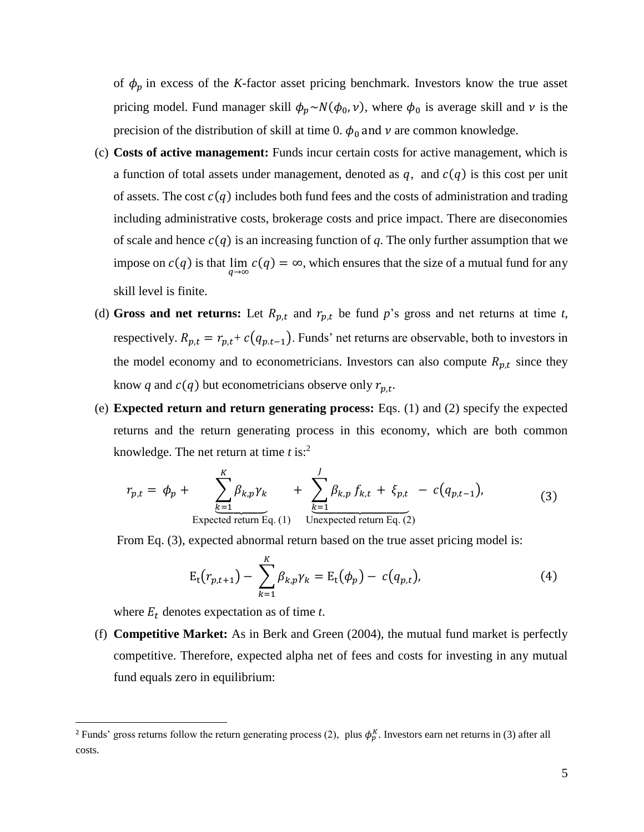of  $\phi_p$  in excess of the *K*-factor asset pricing benchmark. Investors know the true asset pricing model. Fund manager skill  $\phi_p \sim N(\phi_0, v)$ , where  $\phi_0$  is average skill and v is the precision of the distribution of skill at time 0.  $\phi_0$  and  $\nu$  are common knowledge.

- (c) **Costs of active management:** Funds incur certain costs for active management, which is a function of total assets under management, denoted as  $q$ , and  $c(q)$  is this cost per unit of assets. The cost  $c(q)$  includes both fund fees and the costs of administration and trading including administrative costs, brokerage costs and price impact. There are diseconomies of scale and hence  $c(q)$  is an increasing function of q. The only further assumption that we impose on  $c(q)$  is that  $\lim_{q\to\infty} c(q) = \infty$ , which ensures that the size of a mutual fund for any skill level is finite.
- (d) Gross and net returns: Let  $R_{p,t}$  and  $r_{p,t}$  be fund p's gross and net returns at time t, respectively.  $R_{p,t} = r_{p,t} + c(q_{p,t-1})$ . Funds' net returns are observable, both to investors in the model economy and to econometricians. Investors can also compute  $R_{p,t}$  since they know q and  $c(q)$  but econometricians observe only  $r_{p,t}$ .
- (e) **Expected return and return generating process:** Eqs. (1) and (2) specify the expected returns and the return generating process in this economy, which are both common knowledge. The net return at time *t* is:<sup>2</sup>

$$
r_{p,t} = \phi_p + \sum_{\substack{k=1 \ \text{Expected return Eq. (1)}}^{K} \beta_{k,p} \gamma_k}^{} + \sum_{\substack{k=1 \ \text{Expected return Eq. (2)}}^{J} \beta_{k,p} f_{k,t} + \xi_{p,t} - c(q_{p,t-1}),
$$
\n(3)

From Eq. (3), expected abnormal return based on the true asset pricing model is:

$$
E_t(r_{p,t+1}) - \sum_{k=1}^K \beta_{k,p} \gamma_k = E_t(\phi_p) - c(q_{p,t}),
$$
\n(4)

where  $E_t$  denotes expectation as of time  $t$ .

 $\overline{\phantom{a}}$ 

(f) **Competitive Market:** As in Berk and Green (2004), the mutual fund market is perfectly competitive. Therefore, expected alpha net of fees and costs for investing in any mutual fund equals zero in equilibrium:

<sup>&</sup>lt;sup>2</sup> Funds' gross returns follow the return generating process (2), plus  $\phi_p^K$ . Investors earn net returns in (3) after all costs.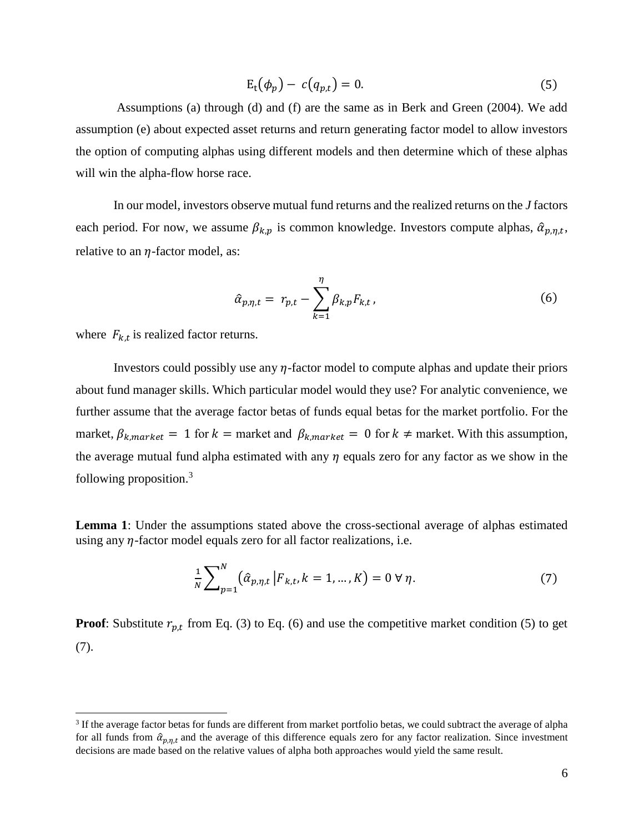$$
E_t(\phi_p) - c(q_{p,t}) = 0. \tag{5}
$$

Assumptions (a) through (d) and (f) are the same as in Berk and Green (2004). We add assumption (e) about expected asset returns and return generating factor model to allow investors the option of computing alphas using different models and then determine which of these alphas will win the alpha-flow horse race.

In our model, investors observe mutual fund returns and the realized returns on the *J* factors each period. For now, we assume  $\beta_{k,p}$  is common knowledge. Investors compute alphas,  $\hat{\alpha}_{p,\eta,t}$ , relative to an  $\eta$ -factor model, as:

$$
\hat{\alpha}_{p,\eta,t} = r_{p,t} - \sum_{k=1}^{\eta} \beta_{k,p} F_{k,t},
$$
\n(6)

where  $F_{k,t}$  is realized factor returns.

 $\overline{\phantom{a}}$ 

Investors could possibly use any  $\eta$ -factor model to compute alphas and update their priors about fund manager skills. Which particular model would they use? For analytic convenience, we further assume that the average factor betas of funds equal betas for the market portfolio. For the market,  $\beta_{k, market} = 1$  for  $k =$  market and  $\beta_{k, market} = 0$  for  $k \neq$  market. With this assumption, the average mutual fund alpha estimated with any  $\eta$  equals zero for any factor as we show in the following proposition.<sup>3</sup>

**Lemma 1**: Under the assumptions stated above the cross-sectional average of alphas estimated using any  $\eta$ -factor model equals zero for all factor realizations, i.e.

$$
\frac{1}{N} \sum_{p=1}^{N} (\hat{\alpha}_{p,\eta,t} | F_{k,t}, k = 1, ..., K) = 0 \,\forall \,\eta.
$$
 (7)

**Proof**: Substitute  $r_{p,t}$  from Eq. (3) to Eq. (6) and use the competitive market condition (5) to get (7).

<sup>&</sup>lt;sup>3</sup> If the average factor betas for funds are different from market portfolio betas, we could subtract the average of alpha for all funds from  $\hat{\alpha}_{p,\eta,t}$  and the average of this difference equals zero for any factor realization. Since investment decisions are made based on the relative values of alpha both approaches would yield the same result.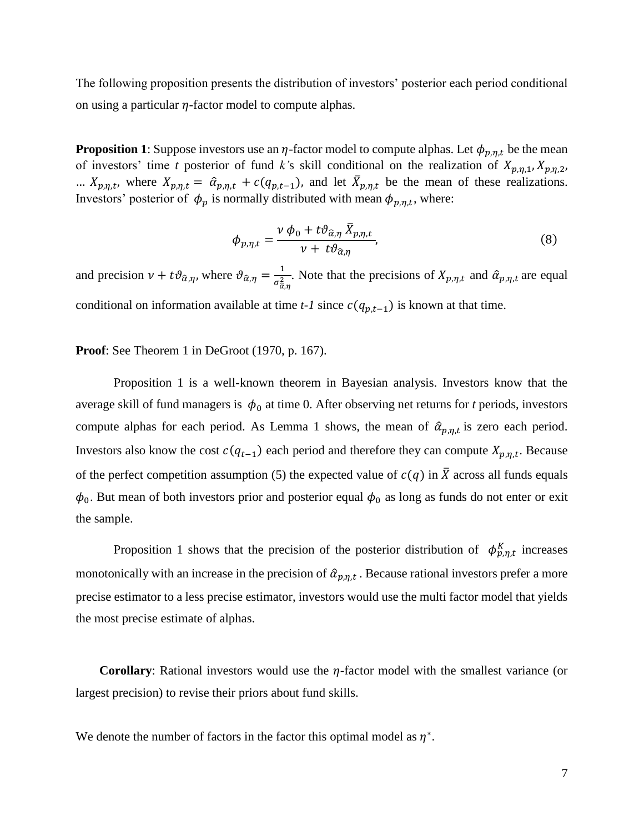The following proposition presents the distribution of investors' posterior each period conditional on using a particular  $\eta$ -factor model to compute alphas.

**Proposition 1**: Suppose investors use an  $\eta$ -factor model to compute alphas. Let  $\phi_{p,\eta,t}$  be the mean of investors' time *t* posterior of fund *k*'s skill conditional on the realization of  $X_{p,\eta,1}, X_{p,\eta,2}$ , ...  $X_{p,\eta,t}$ , where  $X_{p,\eta,t} = \hat{\alpha}_{p,\eta,t} + c(q_{p,t-1})$ , and let  $\bar{X}_{p,\eta,t}$  be the mean of these realizations. Investors' posterior of  $\phi_p$  is normally distributed with mean  $\phi_{p,\eta,t}$ , where:

$$
\phi_{p,\eta,t} = \frac{\nu \phi_0 + t \vartheta_{\hat{\alpha},\eta} \,\bar{X}_{p,\eta,t}}{\nu + t \vartheta_{\hat{\alpha},\eta}},\tag{8}
$$

and precision  $\nu + t \vartheta_{\hat{\alpha}, \eta}$ , where  $\vartheta_{\hat{\alpha}, \eta} = \frac{1}{\sigma^2}$  $\frac{1}{\sigma_{\alpha,\eta}^2}$ . Note that the precisions of  $X_{p,\eta,t}$  and  $\hat{\alpha}_{p,\eta,t}$  are equal conditional on information available at time  $t-1$  since  $c(q_{p,t-1})$  is known at that time.

**Proof**: See Theorem 1 in DeGroot (1970, p. 167).

Proposition 1 is a well-known theorem in Bayesian analysis. Investors know that the average skill of fund managers is  $\phi_0$  at time 0. After observing net returns for *t* periods, investors compute alphas for each period. As Lemma 1 shows, the mean of  $\hat{\alpha}_{p,\eta,t}$  is zero each period. Investors also know the cost  $c(q_{t-1})$  each period and therefore they can compute  $X_{p,\eta,t}$ . Because of the perfect competition assumption (5) the expected value of  $c(q)$  in  $\overline{X}$  across all funds equals  $\phi_0$ . But mean of both investors prior and posterior equal  $\phi_0$  as long as funds do not enter or exit the sample.

Proposition 1 shows that the precision of the posterior distribution of  $\phi_{p,\eta,t}^{K}$  increases monotonically with an increase in the precision of  $\hat{\alpha}_{p,\eta,t}$ . Because rational investors prefer a more precise estimator to a less precise estimator, investors would use the multi factor model that yields the most precise estimate of alphas.

**Corollary:** Rational investors would use the  $\eta$ -factor model with the smallest variance (or largest precision) to revise their priors about fund skills.

We denote the number of factors in the factor this optimal model as  $\eta^*$ .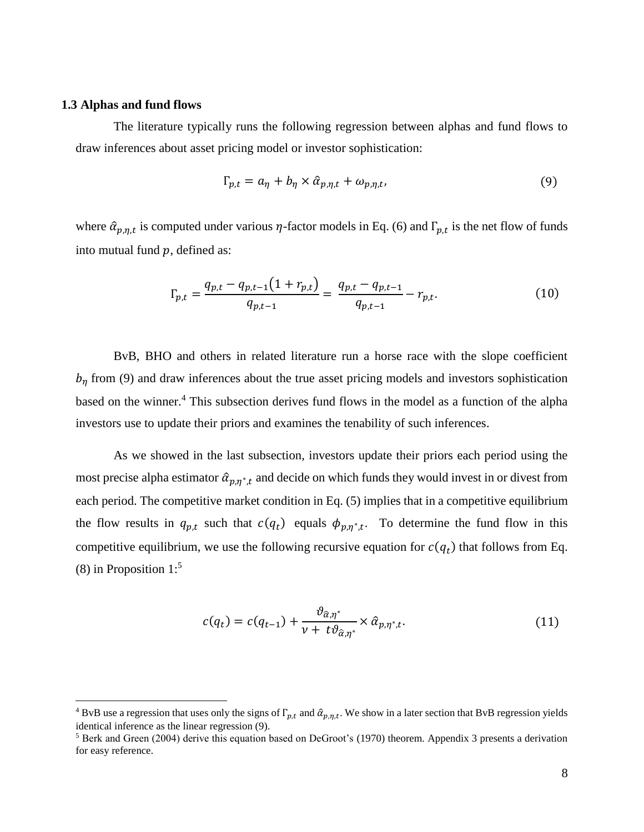#### **1.3 Alphas and fund flows**

 $\overline{\phantom{a}}$ 

The literature typically runs the following regression between alphas and fund flows to draw inferences about asset pricing model or investor sophistication:

$$
\Gamma_{p,t} = a_{\eta} + b_{\eta} \times \hat{\alpha}_{p,\eta,t} + \omega_{p,\eta,t},\tag{9}
$$

where  $\hat{\alpha}_{p,\eta,t}$  is computed under various  $\eta$ -factor models in Eq. (6) and  $\Gamma_{p,t}$  is the net flow of funds into mutual fund  $p$ , defined as:

$$
\Gamma_{p,t} = \frac{q_{p,t} - q_{p,t-1}(1 + r_{p,t})}{q_{p,t-1}} = \frac{q_{p,t} - q_{p,t-1}}{q_{p,t-1}} - r_{p,t}.
$$
\n(10)

BvB, BHO and others in related literature run a horse race with the slope coefficient  $b_n$  from (9) and draw inferences about the true asset pricing models and investors sophistication based on the winner.<sup>4</sup> This subsection derives fund flows in the model as a function of the alpha investors use to update their priors and examines the tenability of such inferences.

As we showed in the last subsection, investors update their priors each period using the most precise alpha estimator  $\hat{\alpha}_{p,\eta^*,t}$  and decide on which funds they would invest in or divest from each period. The competitive market condition in Eq. (5) implies that in a competitive equilibrium the flow results in  $q_{p,t}$  such that  $c(q_t)$  equals  $\phi_{p,\eta^*,t}$ . To determine the fund flow in this competitive equilibrium, we use the following recursive equation for  $c(q_t)$  that follows from Eq. (8) in Proposition  $1:5$ 

$$
c(q_t) = c(q_{t-1}) + \frac{\vartheta_{\hat{\alpha}, \eta^*}}{\nu + t\vartheta_{\hat{\alpha}, \eta^*}} \times \hat{\alpha}_{p, \eta^*, t}.
$$
\n(11)

<sup>&</sup>lt;sup>4</sup> BvB use a regression that uses only the signs of  $\Gamma_{p,t}$  and  $\hat{\alpha}_{p,\eta,t}$ . We show in a later section that BvB regression yields identical inference as the linear regression (9).

<sup>5</sup> Berk and Green (2004) derive this equation based on DeGroot's (1970) theorem. Appendix 3 presents a derivation for easy reference.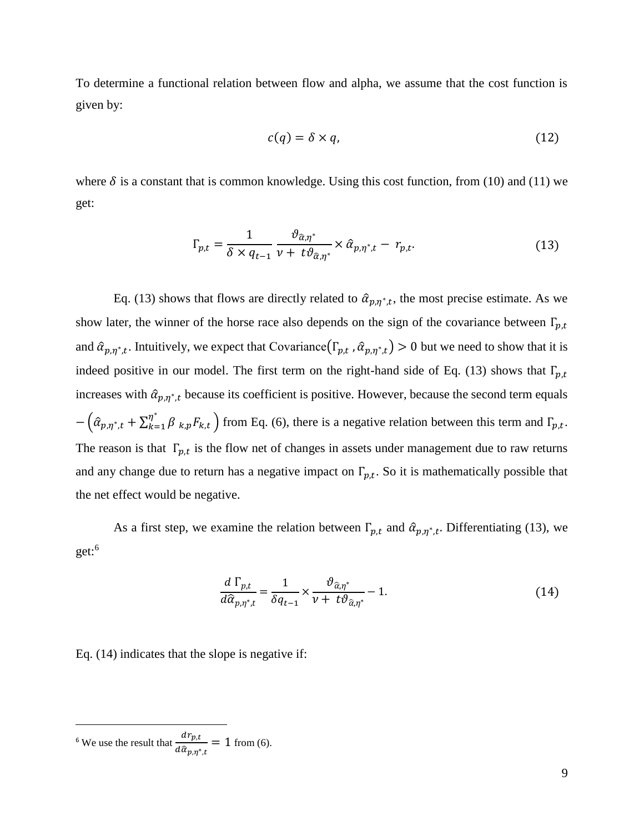To determine a functional relation between flow and alpha, we assume that the cost function is given by:

$$
c(q) = \delta \times q,\tag{12}
$$

where  $\delta$  is a constant that is common knowledge. Using this cost function, from (10) and (11) we get:

$$
\Gamma_{p,t} = \frac{1}{\delta \times q_{t-1}} \frac{\vartheta_{\hat{\alpha},\eta^*}}{\nu + t \vartheta_{\hat{\alpha},\eta^*}} \times \hat{\alpha}_{p,\eta^*,t} - r_{p,t}.
$$
\n(13)

Eq. (13) shows that flows are directly related to  $\hat{\alpha}_{p,\eta^*,t}$ , the most precise estimate. As we show later, the winner of the horse race also depends on the sign of the covariance between  $\Gamma_{p,t}$ and  $\hat{a}_{p,\eta^*,t}$ . Intuitively, we expect that Covariance $(\Gamma_{p,t}, \hat{a}_{p,\eta^*,t}) > 0$  but we need to show that it is indeed positive in our model. The first term on the right-hand side of Eq. (13) shows that  $\Gamma_{p,t}$ increases with  $\hat{\alpha}_{p,\eta^*,t}$  because its coefficient is positive. However, because the second term equals  $-\left(\hat{\alpha}_{p,\eta^*,t} + \sum_{k=1}^{\eta^*} \beta_{k,p} F_{k,t}\right)$  $\int_{k=1}^{\eta} \beta_{k,p} F_{k,t}$  from Eq. (6), there is a negative relation between this term and  $\Gamma_{p,t}$ . The reason is that  $\Gamma_{p,t}$  is the flow net of changes in assets under management due to raw returns and any change due to return has a negative impact on  $\Gamma_{p,t}$ . So it is mathematically possible that the net effect would be negative.

As a first step, we examine the relation between  $\Gamma_{p,t}$  and  $\hat{\alpha}_{p,\eta^*,t}$ . Differentiating (13), we get:<sup>6</sup>

$$
\frac{d\Gamma_{p,t}}{d\hat{\alpha}_{p,\eta^*,t}} = \frac{1}{\delta q_{t-1}} \times \frac{\vartheta_{\hat{\alpha},\eta^*}}{\nu + t\vartheta_{\hat{\alpha},\eta^*}} - 1.
$$
\n(14)

Eq. (14) indicates that the slope is negative if:

 $\overline{a}$ 

<sup>&</sup>lt;sup>6</sup> We use the result that  $\frac{dr_{p,t}}{r}$  $\frac{\partial^{2} \psi_{p,t}}{\partial \hat{\alpha}_{p,\eta^*,t}} = 1$  from (6).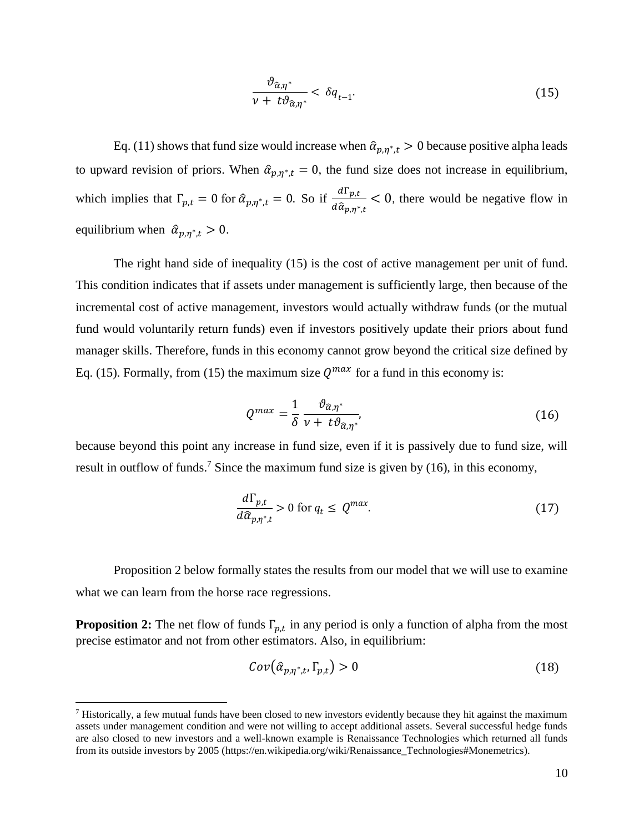$$
\frac{\vartheta_{\widehat{\alpha},\eta^*}}{\nu + t\vartheta_{\widehat{\alpha},\eta^*}} < \delta q_{t-1}.\tag{15}
$$

Eq. (11) shows that fund size would increase when  $\hat{\alpha}_{p,\eta^*,t} > 0$  because positive alpha leads to upward revision of priors. When  $\hat{\alpha}_{p,\eta^*,t} = 0$ , the fund size does not increase in equilibrium, which implies that  $\Gamma_{p,t} = 0$  for  $\hat{\alpha}_{p,\eta^*,t} = 0$ . So if  $\frac{d\Gamma_{p,t}}{d\hat{\alpha}}$  $rac{a_1 p_{\mu}}{d \hat{\alpha}_{p,\eta^*,t}}$  < 0, there would be negative flow in equilibrium when  $\hat{\alpha}_{p,\eta^*,t} > 0$ .

The right hand side of inequality (15) is the cost of active management per unit of fund. This condition indicates that if assets under management is sufficiently large, then because of the incremental cost of active management, investors would actually withdraw funds (or the mutual fund would voluntarily return funds) even if investors positively update their priors about fund manager skills. Therefore, funds in this economy cannot grow beyond the critical size defined by Eq. (15). Formally, from (15) the maximum size  $Q^{max}$  for a fund in this economy is:

$$
Q^{max} = \frac{1}{\delta} \frac{\vartheta_{\hat{\alpha}, \eta^*}}{\nu + t \vartheta_{\hat{\alpha}, \eta^*}},
$$
\n(16)

because beyond this point any increase in fund size, even if it is passively due to fund size, will result in outflow of funds.<sup>7</sup> Since the maximum fund size is given by (16), in this economy,

$$
\frac{d\Gamma_{p,t}}{d\hat{a}_{p,\eta^*,t}} > 0 \text{ for } q_t \le Q^{max}.\tag{17}
$$

Proposition 2 below formally states the results from our model that we will use to examine what we can learn from the horse race regressions.

**Proposition 2:** The net flow of funds  $\Gamma_{p,t}$  in any period is only a function of alpha from the most precise estimator and not from other estimators. Also, in equilibrium:

$$
Cov(\hat{\alpha}_{p,\eta^*,t},\Gamma_{p,t}) > 0 \tag{18}
$$

 $\overline{a}$ 

 $<sup>7</sup>$  Historically, a few mutual funds have been closed to new investors evidently because they hit against the maximum</sup> assets under management condition and were not willing to accept additional assets. Several successful hedge funds are also closed to new investors and a well-known example is Renaissance Technologies which returned all funds from its outside investors by 2005 (https://en.wikipedia.org/wiki/Renaissance\_Technologies#Monemetrics).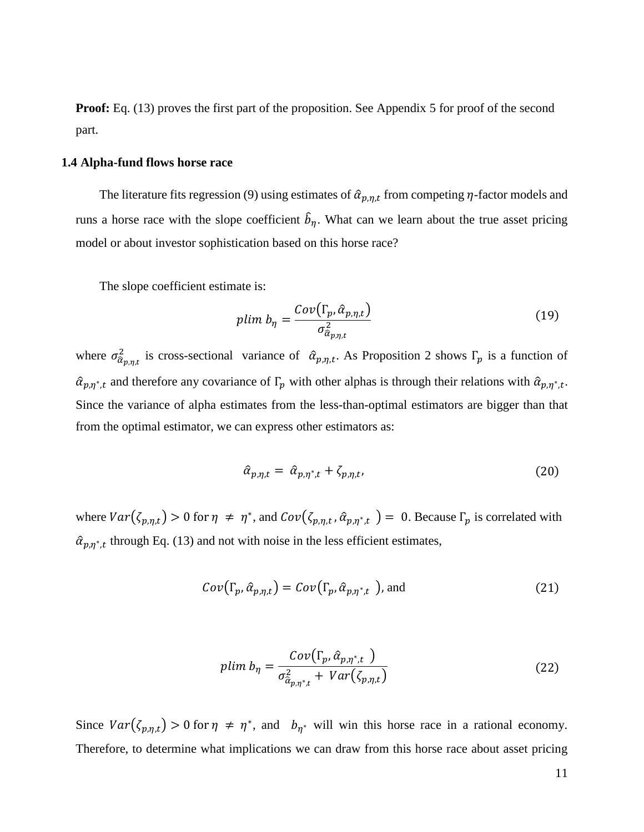**Proof:** Eq. (13) proves the first part of the proposition. See Appendix 5 for proof of the second part.

#### **1.4 Alpha-fund flows horse race**

The literature fits regression (9) using estimates of  $\hat{\alpha}_{p,\eta,t}$  from competing  $\eta$ -factor models and runs a horse race with the slope coefficient  $\hat{b}_{\eta}$ . What can we learn about the true asset pricing model or about investor sophistication based on this horse race?

The slope coefficient estimate is:

$$
plim b_{\eta} = \frac{Cov(\Gamma_p, \hat{\alpha}_{p,\eta,t})}{\sigma_{\hat{\alpha}_{p,\eta,t}}^2}
$$
\n(19)

where  $\sigma_{\hat{\alpha}_{p,\eta,t}}^2$  is cross-sectional variance of  $\hat{\alpha}_{p,\eta,t}$ . As Proposition 2 shows  $\Gamma_p$  is a function of  $\hat{a}_{p,\eta^*,t}$  and therefore any covariance of  $\Gamma_p$  with other alphas is through their relations with  $\hat{a}_{p,\eta^*,t}$ . Since the variance of alpha estimates from the less-than-optimal estimators are bigger than that from the optimal estimator, we can express other estimators as:

$$
\hat{\alpha}_{p,\eta,t} = \hat{\alpha}_{p,\eta^*,t} + \zeta_{p,\eta,t},\tag{20}
$$

where  $Var(\zeta_{p,\eta,t}) > 0$  for  $\eta \neq \eta^*$ , and  $Cov(\zeta_{p,\eta,t}, \hat{\alpha}_{p,\eta^*,t}) = 0$ . Because  $\Gamma_p$  is correlated with  $\hat{\alpha}_{p,\eta^*,t}$  through Eq. (13) and not with noise in the less efficient estimates,

$$
Cov(\Gamma_p, \hat{\alpha}_{p,\eta,t}) = Cov(\Gamma_p, \hat{\alpha}_{p,\eta^*,t})
$$
, and (21)

$$
plim b_{\eta} = \frac{Cov(\Gamma_p, \hat{\alpha}_{p,\eta^*,t})}{\sigma_{\hat{\alpha}_{p,\eta^*,t}}^2 + Var(\zeta_{p,\eta,t})}
$$
(22)

Since  $Var(\zeta_{p,\eta,t}) > 0$  for  $\eta \neq \eta^*$ , and  $b_{\eta^*}$  will win this horse race in a rational economy. Therefore, to determine what implications we can draw from this horse race about asset pricing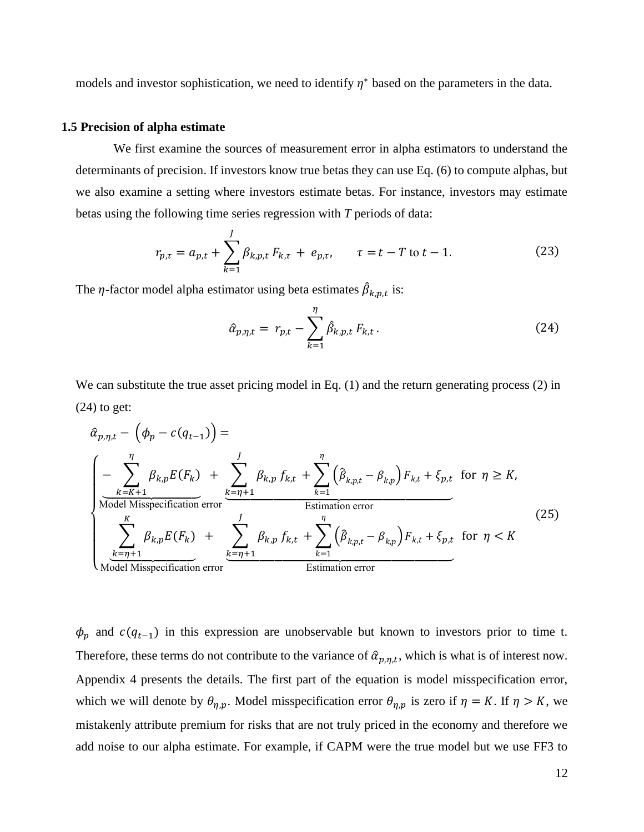models and investor sophistication, we need to identify  $\eta^*$  based on the parameters in the data.

#### **1.5 Precision of alpha estimate**

We first examine the sources of measurement error in alpha estimators to understand the determinants of precision. If investors know true betas they can use Eq. (6) to compute alphas, but we also examine a setting where investors estimate betas. For instance, investors may estimate betas using the following time series regression with *T* periods of data:

$$
r_{p,\tau} = a_{p,t} + \sum_{k=1}^{J} \beta_{k,p,t} F_{k,\tau} + e_{p,\tau}, \qquad \tau = t - T \text{ to } t - 1.
$$
 (23)

The  $\eta$ -factor model alpha estimator using beta estimates  $\hat{\beta}_{k,p,t}$  is:

$$
\hat{\alpha}_{p,\eta,t} = r_{p,t} - \sum_{k=1}^{\eta} \hat{\beta}_{k,p,t} F_{k,t}.
$$
 (24)

We can substitute the true asset pricing model in Eq. (1) and the return generating process (2) in  $(24)$  to get:

$$
\hat{\alpha}_{p,\eta,t} - \left(\phi_p - c(q_{t-1})\right) = \n\begin{cases}\n-\sum_{k=K+1}^{\eta} \beta_{k,p} E(F_k) + \sum_{k=1}^{J} \beta_{k,p} f_{k,t} + \sum_{k=1}^{\eta} \left(\hat{\beta}_{k,p,t} - \beta_{k,p}\right) F_{k,t} + \xi_{p,t} & \text{for } \eta \ge K, \\
\text{Model Misspecification error} & \text{Estimation error} \\
\sum_{k=\eta+1}^{K} \beta_{k,p} E(F_k) + \sum_{k=1}^{J} \beta_{k,p} f_{k,t} + \sum_{k=1}^{\eta} \left(\hat{\beta}_{k,p,t} - \beta_{k,p}\right) F_{k,t} + \xi_{p,t} & \text{for } \eta < K\n\end{cases}\n\tag{25}
$$

 $\phi_p$  and  $c(q_{t-1})$  in this expression are unobservable but known to investors prior to time t. Therefore, these terms do not contribute to the variance of  $\hat{a}_{p,\eta,t}$ , which is what is of interest now. Appendix 4 presents the details. The first part of the equation is model misspecification error, which we will denote by  $\theta_{\eta,p}$ . Model misspecification error  $\theta_{\eta,p}$  is zero if  $\eta = K$ . If  $\eta > K$ , we mistakenly attribute premium for risks that are not truly priced in the economy and therefore we add noise to our alpha estimate. For example, if CAPM were the true model but we use FF3 to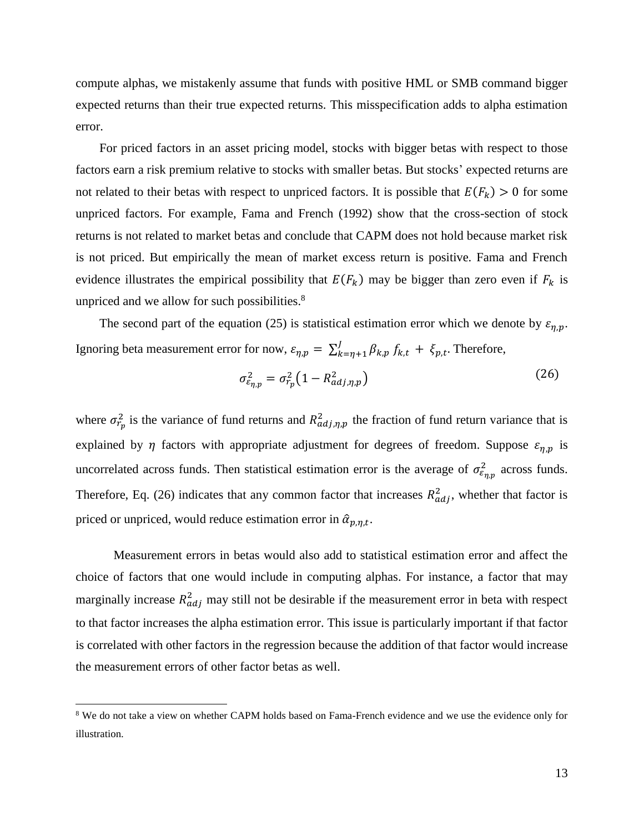compute alphas, we mistakenly assume that funds with positive HML or SMB command bigger expected returns than their true expected returns. This misspecification adds to alpha estimation error.

For priced factors in an asset pricing model, stocks with bigger betas with respect to those factors earn a risk premium relative to stocks with smaller betas. But stocks' expected returns are not related to their betas with respect to unpriced factors. It is possible that  $E(F_k) > 0$  for some unpriced factors. For example, Fama and French (1992) show that the cross-section of stock returns is not related to market betas and conclude that CAPM does not hold because market risk is not priced. But empirically the mean of market excess return is positive. Fama and French evidence illustrates the empirical possibility that  $E(F_k)$  may be bigger than zero even if  $F_k$  is unpriced and we allow for such possibilities.<sup>8</sup>

The second part of the equation (25) is statistical estimation error which we denote by  $\varepsilon_{\eta,p}$ . Ignoring beta measurement error for now,  $\varepsilon_{\eta,p} = \sum_{k=\eta+1}^{J} \beta_{k,p} f_{k,t} + \xi_{p,t}$  $\int_{k=\eta+1}^{J} \beta_{k,p} f_{k,t} + \xi_{p,t}$ . Therefore,

$$
\sigma_{\varepsilon_{\eta,p}}^2 = \sigma_{r_p}^2 \left( 1 - R_{adj,\eta,p}^2 \right) \tag{26}
$$

where  $\sigma_{r_p}^2$  is the variance of fund returns and  $R_{adj,\eta,p}^2$  the fraction of fund return variance that is explained by  $\eta$  factors with appropriate adjustment for degrees of freedom. Suppose  $\varepsilon_{\eta,p}$  is uncorrelated across funds. Then statistical estimation error is the average of  $\sigma_{\epsilon_{\eta,p}}^2$  across funds. Therefore, Eq. (26) indicates that any common factor that increases  $R_{adj}^2$ , whether that factor is priced or unpriced, would reduce estimation error in  $\hat{\alpha}_{p,\eta,t}$ .

Measurement errors in betas would also add to statistical estimation error and affect the choice of factors that one would include in computing alphas. For instance, a factor that may marginally increase  $R_{adj}^2$  may still not be desirable if the measurement error in beta with respect to that factor increases the alpha estimation error. This issue is particularly important if that factor is correlated with other factors in the regression because the addition of that factor would increase the measurement errors of other factor betas as well.

 $\overline{\phantom{a}}$ 

<sup>&</sup>lt;sup>8</sup> We do not take a view on whether CAPM holds based on Fama-French evidence and we use the evidence only for illustration.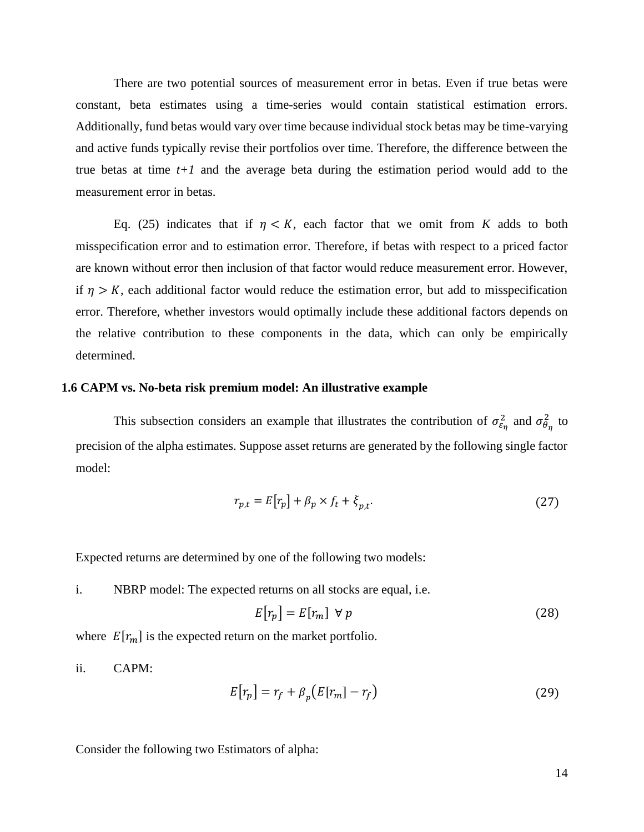There are two potential sources of measurement error in betas. Even if true betas were constant, beta estimates using a time-series would contain statistical estimation errors. Additionally, fund betas would vary over time because individual stock betas may be time-varying and active funds typically revise their portfolios over time. Therefore, the difference between the true betas at time *t+1* and the average beta during the estimation period would add to the measurement error in betas.

Eq. (25) indicates that if  $\eta < K$ , each factor that we omit from K adds to both misspecification error and to estimation error. Therefore, if betas with respect to a priced factor are known without error then inclusion of that factor would reduce measurement error. However, if  $\eta > K$ , each additional factor would reduce the estimation error, but add to misspecification error. Therefore, whether investors would optimally include these additional factors depends on the relative contribution to these components in the data, which can only be empirically determined.

#### **1.6 CAPM vs. No-beta risk premium model: An illustrative example**

This subsection considers an example that illustrates the contribution of  $\sigma_{\epsilon_{\eta}}^2$  and  $\sigma_{\theta_{\eta}}^2$  to precision of the alpha estimates. Suppose asset returns are generated by the following single factor model:

$$
r_{p,t} = E[r_p] + \beta_p \times f_t + \xi_{p,t}.
$$
\n(27)

Expected returns are determined by one of the following two models:

i. NBRP model: The expected returns on all stocks are equal, i.e.

$$
E[r_p] = E[r_m] \ \forall \ p \tag{28}
$$

where  $E[r_m]$  is the expected return on the market portfolio.

ii. CAPM:

$$
E[r_p] = r_f + \beta_p \left( E[r_m] - r_f \right) \tag{29}
$$

Consider the following two Estimators of alpha: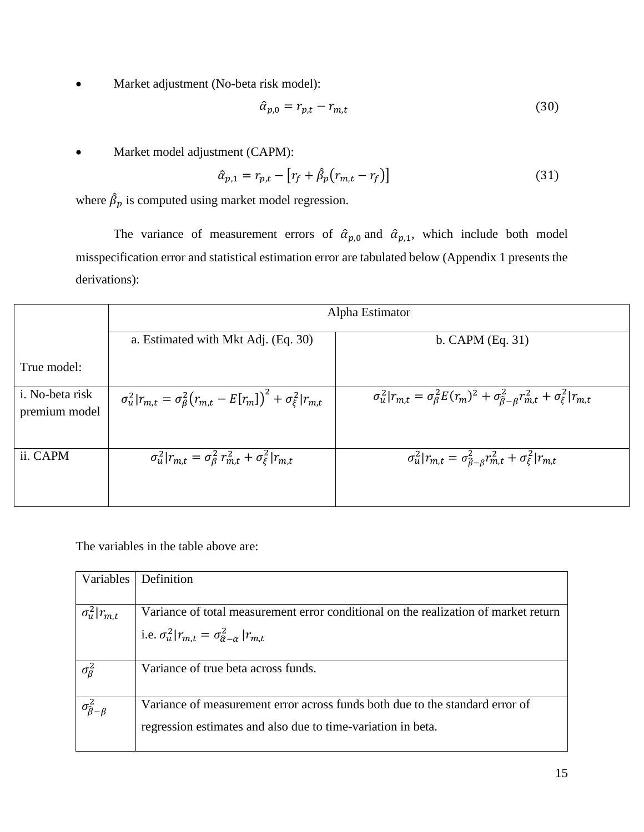Market adjustment (No-beta risk model):

$$
\hat{\alpha}_{p,0} = r_{p,t} - r_{m,t} \tag{30}
$$

Market model adjustment (CAPM):

$$
\hat{\alpha}_{p,1} = r_{p,t} - [r_f + \hat{\beta}_p (r_{m,t} - r_f)] \tag{31}
$$

where  $\hat{\beta}_p$  is computed using market model regression.

The variance of measurement errors of  $\hat{\alpha}_{p,0}$  and  $\hat{\alpha}_{p,1}$ , which include both model misspecification error and statistical estimation error are tabulated below (Appendix 1 presents the derivations):

|                                          | Alpha Estimator                                                                       |                                                                                                                      |  |  |  |  |  |  |  |  |  |
|------------------------------------------|---------------------------------------------------------------------------------------|----------------------------------------------------------------------------------------------------------------------|--|--|--|--|--|--|--|--|--|
|                                          | a. Estimated with Mkt Adj. (Eq. 30)                                                   | b. CAPM $(Eq. 31)$                                                                                                   |  |  |  |  |  |  |  |  |  |
| True model:                              |                                                                                       |                                                                                                                      |  |  |  |  |  |  |  |  |  |
| <i>i</i> . No-beta risk<br>premium model | $\sigma_u^2   r_{m,t} = \sigma_\beta^2 (r_{m,t} - E[r_m])^2 + \sigma_\xi^2   r_{m,t}$ | $\sigma_u^2   r_{m,t} = \sigma_\beta^2 E(r_m)^2 + \sigma_{\hat{\beta}-\beta}^2 r_{m,t}^2 + \sigma_{\xi}^2   r_{m,t}$ |  |  |  |  |  |  |  |  |  |
| ii. CAPM                                 | $\sigma_u^2   r_{m,t} = \sigma_{\beta}^2 r_{m,t}^2 + \sigma_{\xi}^2   r_{m,t}$        | $\sigma_u^2   r_{m,t} = \sigma_{\hat{\beta}-\beta}^2 r_{m,t}^2 + \sigma_{\xi}^2   r_{m,t}$                           |  |  |  |  |  |  |  |  |  |

The variables in the table above are:

| Variables                          | Definition                                                                          |
|------------------------------------|-------------------------------------------------------------------------------------|
|                                    |                                                                                     |
| $\sigma_u^2   r_{m,t}$             | Variance of total measurement error conditional on the realization of market return |
|                                    | i.e. $\sigma_u^2   r_{m,t} = \sigma_{\hat{\alpha}-\alpha}^2   r_{m,t}$              |
|                                    |                                                                                     |
| $\sigma_{\beta}^2$                 | Variance of true beta across funds.                                                 |
| $\sigma^2_{\widehat{\beta}-\beta}$ | Variance of measurement error across funds both due to the standard error of        |
|                                    | regression estimates and also due to time-variation in beta.                        |
|                                    |                                                                                     |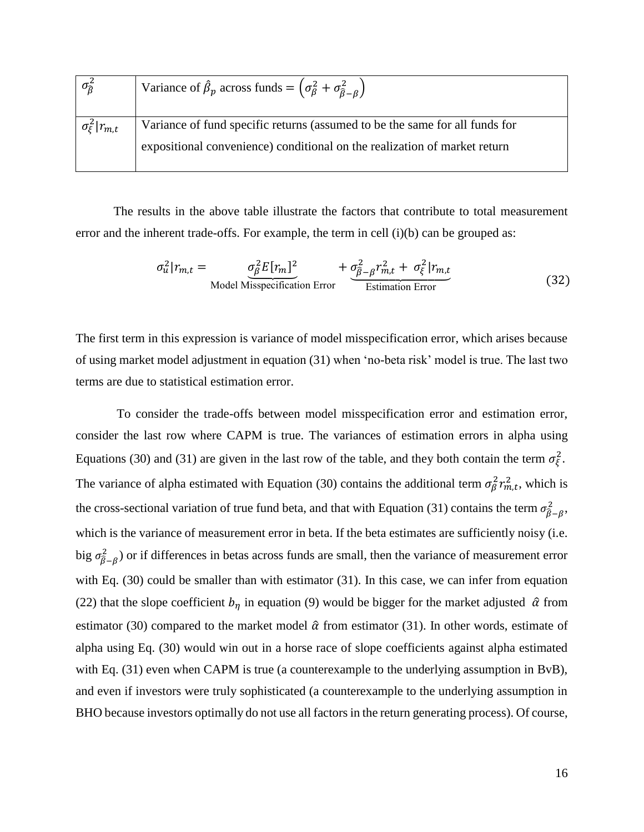| $\sigma_{\widehat{B}}^2$   | Variance of $\hat{\beta}_p$ across funds = $(\sigma_{\beta}^2 + \sigma_{\hat{\beta}-\beta}^2)$ |
|----------------------------|------------------------------------------------------------------------------------------------|
| $\sigma_{\xi}^2   r_{m,t}$ | Variance of fund specific returns (assumed to be the same for all funds for                    |
|                            | expositional convenience) conditional on the realization of market return                      |

The results in the above table illustrate the factors that contribute to total measurement error and the inherent trade-offs. For example, the term in cell  $(i)(b)$  can be grouped as:

$$
\sigma_u^2 |r_{m,t} = \underbrace{\sigma_\beta^2 E[r_m]^2}_{\text{Model Missouri}} + \underbrace{\sigma_{\beta-\beta}^2 r_{m,t}^2 + \sigma_\xi^2 |r_{m,t}}_{\text{Estimation Error}}
$$
(32)

The first term in this expression is variance of model misspecification error, which arises because of using market model adjustment in equation (31) when 'no-beta risk' model is true. The last two terms are due to statistical estimation error.

To consider the trade-offs between model misspecification error and estimation error, consider the last row where CAPM is true. The variances of estimation errors in alpha using Equations (30) and (31) are given in the last row of the table, and they both contain the term  $\sigma_{\xi}^2$ . The variance of alpha estimated with Equation (30) contains the additional term  $\sigma_{\beta}^2 r_{m,t}^2$ , which is the cross-sectional variation of true fund beta, and that with Equation (31) contains the term  $\sigma_{\beta-\beta}^2$ , which is the variance of measurement error in beta. If the beta estimates are sufficiently noisy (i.e. big  $\sigma_{\hat{\beta}-\beta}^2$ ) or if differences in betas across funds are small, then the variance of measurement error with Eq. (30) could be smaller than with estimator (31). In this case, we can infer from equation (22) that the slope coefficient  $b_n$  in equation (9) would be bigger for the market adjusted  $\hat{\alpha}$  from estimator (30) compared to the market model  $\hat{\alpha}$  from estimator (31). In other words, estimate of alpha using Eq. (30) would win out in a horse race of slope coefficients against alpha estimated with Eq. (31) even when CAPM is true (a counterexample to the underlying assumption in BvB), and even if investors were truly sophisticated (a counterexample to the underlying assumption in BHO because investors optimally do not use all factors in the return generating process). Of course,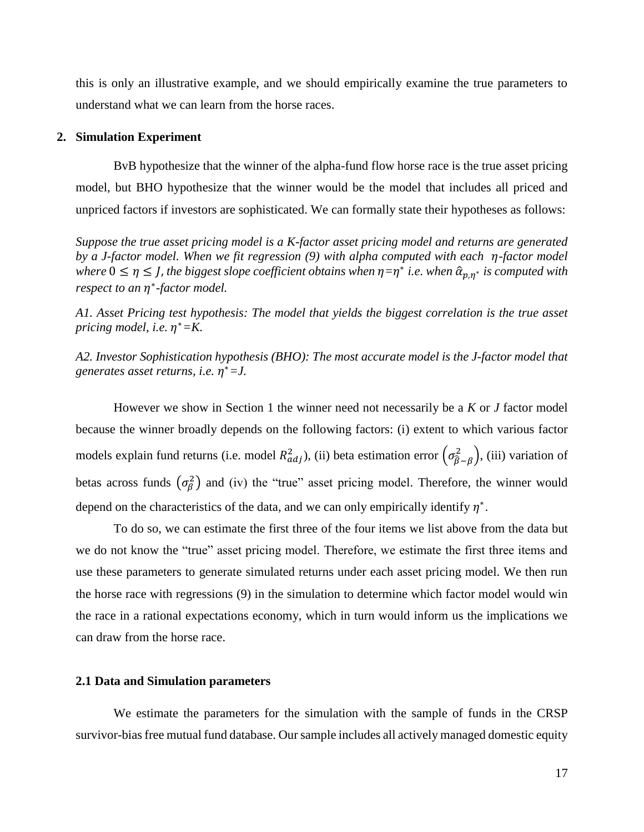this is only an illustrative example, and we should empirically examine the true parameters to understand what we can learn from the horse races.

#### **2. Simulation Experiment**

BvB hypothesize that the winner of the alpha-fund flow horse race is the true asset pricing model, but BHO hypothesize that the winner would be the model that includes all priced and unpriced factors if investors are sophisticated. We can formally state their hypotheses as follows:

*Suppose the true asset pricing model is a K-factor asset pricing model and returns are generated by a J-factor model. When we fit regression* (9) *with alpha computed with each η-factor model*  $\omega$  where  $0 \le \eta \le J$ , the biggest slope coefficient obtains when  $\eta = \eta^*$  *i.e.* when  $\hat{\alpha}_{p,\eta^*}$  is computed with *respect to an*  ∗ *-factor model.* 

*A1. Asset Pricing test hypothesis: The model that yields the biggest correlation is the true asset pricing model, i.e.*  $η<sup>∗</sup> = K$ .

*A2. Investor Sophistication hypothesis (BHO): The most accurate model is the J-factor model that generates asset returns, i.e.*  <sup>∗</sup>*=J.*

However we show in Section 1 the winner need not necessarily be a *K* or *J* factor model because the winner broadly depends on the following factors: (i) extent to which various factor models explain fund returns (i.e. model  $R_{adj}^2$ ), (ii) beta estimation error  $(\sigma_{\hat{\beta}-\beta}^2)$ , (iii) variation of betas across funds  $(\sigma_{\beta}^2)$  and (iv) the "true" asset pricing model. Therefore, the winner would depend on the characteristics of the data, and we can only empirically identify  $\eta^*$ .

To do so, we can estimate the first three of the four items we list above from the data but we do not know the "true" asset pricing model. Therefore, we estimate the first three items and use these parameters to generate simulated returns under each asset pricing model. We then run the horse race with regressions (9) in the simulation to determine which factor model would win the race in a rational expectations economy, which in turn would inform us the implications we can draw from the horse race.

#### **2.1 Data and Simulation parameters**

We estimate the parameters for the simulation with the sample of funds in the CRSP survivor-bias free mutual fund database. Our sample includes all actively managed domestic equity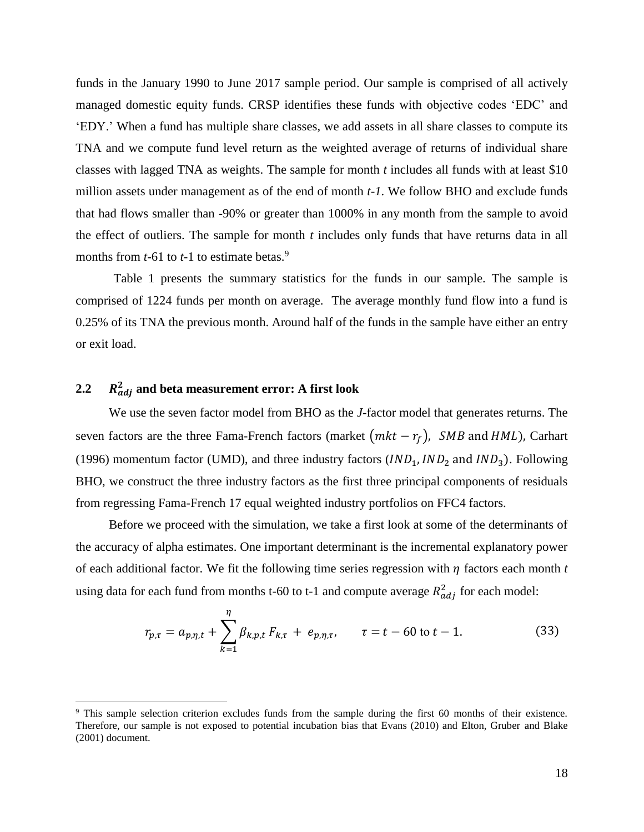funds in the January 1990 to June 2017 sample period. Our sample is comprised of all actively managed domestic equity funds. CRSP identifies these funds with objective codes 'EDC' and 'EDY.' When a fund has multiple share classes, we add assets in all share classes to compute its TNA and we compute fund level return as the weighted average of returns of individual share classes with lagged TNA as weights. The sample for month *t* includes all funds with at least \$10 million assets under management as of the end of month *t-1*. We follow BHO and exclude funds that had flows smaller than -90% or greater than 1000% in any month from the sample to avoid the effect of outliers. The sample for month *t* includes only funds that have returns data in all months from  $t-61$  to  $t-1$  to estimate betas.<sup>9</sup>

Table 1 presents the summary statistics for the funds in our sample. The sample is comprised of 1224 funds per month on average. The average monthly fund flow into a fund is 0.25% of its TNA the previous month. Around half of the funds in the sample have either an entry or exit load.

# $2.2$   $R_{adj}^2$  and beta measurement error: A first look

 $\overline{a}$ 

We use the seven factor model from BHO as the *J*-factor model that generates returns. The seven factors are the three Fama-French factors (market  $(mkt - r_f)$ , *SMB* and *HML*), Carhart (1996) momentum factor (UMD), and three industry factors  $(IND_1, IND_2)$  and  $IND_3$ ). Following BHO, we construct the three industry factors as the first three principal components of residuals from regressing Fama-French 17 equal weighted industry portfolios on FFC4 factors.

Before we proceed with the simulation, we take a first look at some of the determinants of the accuracy of alpha estimates. One important determinant is the incremental explanatory power of each additional factor. We fit the following time series regression with  $\eta$  factors each month  $t$ using data for each fund from months t-60 to t-1 and compute average  $R_{adj}^2$  for each model:

$$
r_{p,\tau} = a_{p,\eta,t} + \sum_{k=1}^{\eta} \beta_{k,p,t} F_{k,\tau} + e_{p,\eta,\tau}, \qquad \tau = t - 60 \text{ to } t - 1. \tag{33}
$$

<sup>9</sup> This sample selection criterion excludes funds from the sample during the first 60 months of their existence. Therefore, our sample is not exposed to potential incubation bias that Evans (2010) and Elton, Gruber and Blake (2001) document.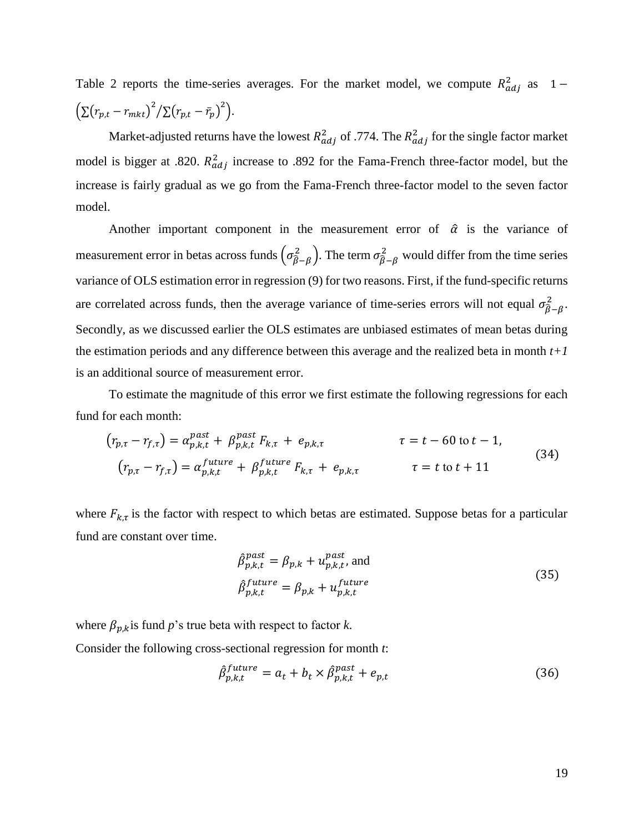Table 2 reports the time-series averages. For the market model, we compute  $R_{adj}^2$  as 1 –  $\left(\sum (r_{p,t} - r_{mkt})^2 / \sum (r_{p,t} - \bar{r}_p)^2\right).$ 

Market-adjusted returns have the lowest  $R_{adj}^2$  of .774. The  $R_{adj}^2$  for the single factor market model is bigger at .820.  $R_{adj}^2$  increase to .892 for the Fama-French three-factor model, but the increase is fairly gradual as we go from the Fama-French three-factor model to the seven factor model.

Another important component in the measurement error of  $\hat{\alpha}$  is the variance of measurement error in betas across funds  $(\sigma_{\beta-\beta}^2)$ . The term  $\sigma_{\beta-\beta}^2$  would differ from the time series variance of OLS estimation error in regression (9) for two reasons. First, if the fund-specific returns are correlated across funds, then the average variance of time-series errors will not equal  $\sigma_{\hat{\beta}-\beta}^2$ . Secondly, as we discussed earlier the OLS estimates are unbiased estimates of mean betas during the estimation periods and any difference between this average and the realized beta in month *t+1* is an additional source of measurement error.

To estimate the magnitude of this error we first estimate the following regressions for each fund for each month:

$$
\left(r_{p,\tau} - r_{f,\tau}\right) = \alpha_{p,k,t}^{past} + \beta_{p,k,t}^{past} F_{k,\tau} + e_{p,k,\tau} \qquad \tau = t - 60 \text{ to } t - 1,
$$
\n
$$
\left(r_{p,\tau} - r_{f,\tau}\right) = \alpha_{p,k,t}^{future} + \beta_{p,k,t}^{future} F_{k,\tau} + e_{p,k,\tau} \qquad \tau = t \text{ to } t + 11
$$
\n
$$
(34)
$$

where  $F_{k,\tau}$  is the factor with respect to which betas are estimated. Suppose betas for a particular fund are constant over time.

$$
\hat{\beta}_{p,k,t}^{past} = \beta_{p,k} + u_{p,k,t}^{past}, \text{ and}
$$
\n
$$
\hat{\beta}_{p,k,t}^{future} = \beta_{p,k} + u_{p,k,t}^{future}
$$
\n(35)

where  $\beta_{p,k}$  is fund *p*'s true beta with respect to factor *k*. Consider the following cross-sectional regression for month *t*:

$$
\hat{\beta}_{p,k,t}^{future} = a_t + b_t \times \hat{\beta}_{p,k,t}^{past} + e_{p,t}
$$
\n(36)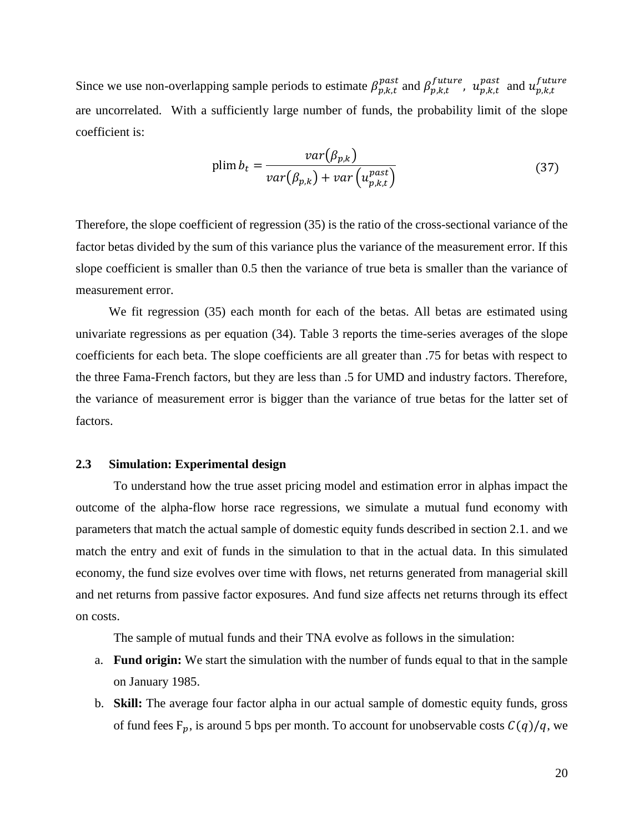Since we use non-overlapping sample periods to estimate  $\beta_{p,k,t}^{past}$  and  $\beta_{p,k,t}^{future}$ ,  $u_{p,k,t}^{past}$  and  $u_{p,k,t}^{future}$ are uncorrelated. With a sufficiently large number of funds, the probability limit of the slope coefficient is:

$$
\text{plim}\,b_t = \frac{var(\beta_{p,k})}{var(\beta_{p,k}) + var\left(u_{p,k,t}^{past}\right)}\tag{37}
$$

Therefore, the slope coefficient of regression (35) is the ratio of the cross-sectional variance of the factor betas divided by the sum of this variance plus the variance of the measurement error. If this slope coefficient is smaller than 0.5 then the variance of true beta is smaller than the variance of measurement error.

We fit regression (35) each month for each of the betas. All betas are estimated using univariate regressions as per equation (34). Table 3 reports the time-series averages of the slope coefficients for each beta. The slope coefficients are all greater than .75 for betas with respect to the three Fama-French factors, but they are less than .5 for UMD and industry factors. Therefore, the variance of measurement error is bigger than the variance of true betas for the latter set of factors.

#### **2.3 Simulation: Experimental design**

To understand how the true asset pricing model and estimation error in alphas impact the outcome of the alpha-flow horse race regressions, we simulate a mutual fund economy with parameters that match the actual sample of domestic equity funds described in section 2.1. and we match the entry and exit of funds in the simulation to that in the actual data. In this simulated economy, the fund size evolves over time with flows, net returns generated from managerial skill and net returns from passive factor exposures. And fund size affects net returns through its effect on costs.

The sample of mutual funds and their TNA evolve as follows in the simulation:

- a. **Fund origin:** We start the simulation with the number of funds equal to that in the sample on January 1985.
- b. **Skill:** The average four factor alpha in our actual sample of domestic equity funds, gross of fund fees  $F_p$ , is around 5 bps per month. To account for unobservable costs  $C(q)/q$ , we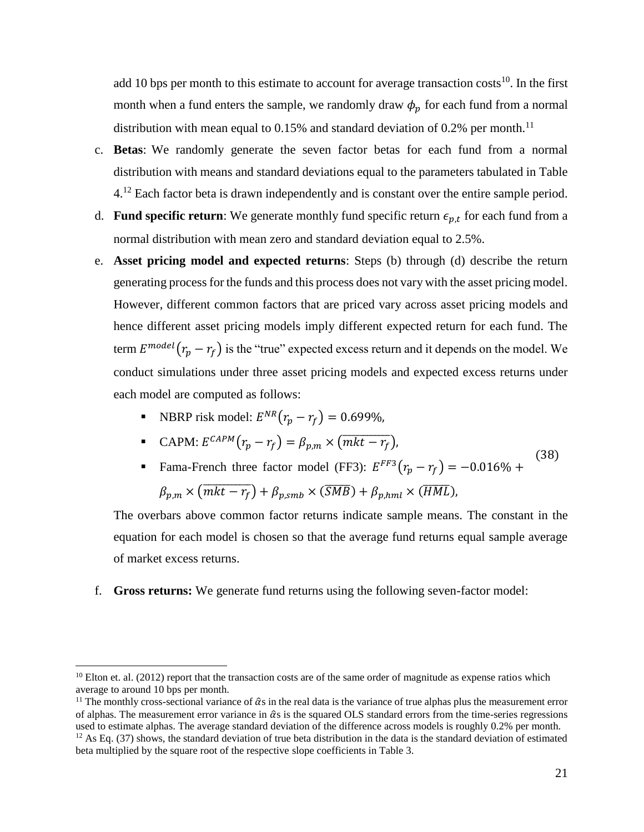add 10 bps per month to this estimate to account for average transaction costs<sup>10</sup>. In the first month when a fund enters the sample, we randomly draw  $\phi_p$  for each fund from a normal distribution with mean equal to 0.15% and standard deviation of 0.2% per month.<sup>11</sup>

- c. **Betas**: We randomly generate the seven factor betas for each fund from a normal distribution with means and standard deviations equal to the parameters tabulated in Table 4.<sup>12</sup> Each factor beta is drawn independently and is constant over the entire sample period.
- d. **Fund specific return**: We generate monthly fund specific return  $\epsilon_{p,t}$  for each fund from a normal distribution with mean zero and standard deviation equal to 2.5%.
- e. **Asset pricing model and expected returns**: Steps (b) through (d) describe the return generating process for the funds and this process does not vary with the asset pricing model. However, different common factors that are priced vary across asset pricing models and hence different asset pricing models imply different expected return for each fund. The term  $E^{model}(r_p - r_f)$  is the "true" expected excess return and it depends on the model. We conduct simulations under three asset pricing models and expected excess returns under each model are computed as follows:
	- **•** NBRP risk model:  $E^{NR}(r_p r_f) = 0.699\%$ ,

 $\overline{\phantom{a}}$ 

■ CAPM: 
$$
E^{CAPM}(r_p - r_f) = \beta_{p,m} \times (\overline{mkt - r_f}),
$$

■ Fama-French three factor model (FF3):  $E^{FF3}(r_p - r_f) = -0.016\% +$  $\beta_{p,m} \times (\overline{mkt - r_f}) + \beta_{p,smb} \times (\overline{SMB}) + \beta_{p,hml} \times (\overline{HML})$ (38)

The overbars above common factor returns indicate sample means. The constant in the equation for each model is chosen so that the average fund returns equal sample average of market excess returns.

f. **Gross returns:** We generate fund returns using the following seven-factor model:

 $10$  Elton et. al. (2012) report that the transaction costs are of the same order of magnitude as expense ratios which average to around 10 bps per month.

<sup>&</sup>lt;sup>11</sup> The monthly cross-sectional variance of  $\hat{\alpha}$ s in the real data is the variance of true alphas plus the measurement error of alphas. The measurement error variance in  $\hat{\alpha}$ s is the squared OLS standard errors from the time-series regressions used to estimate alphas. The average standard deviation of the difference across models is roughly 0.2% per month.  $12$  As Eq. (37) shows, the standard deviation of true beta distribution in the data is the standard deviation of estimated beta multiplied by the square root of the respective slope coefficients in Table 3.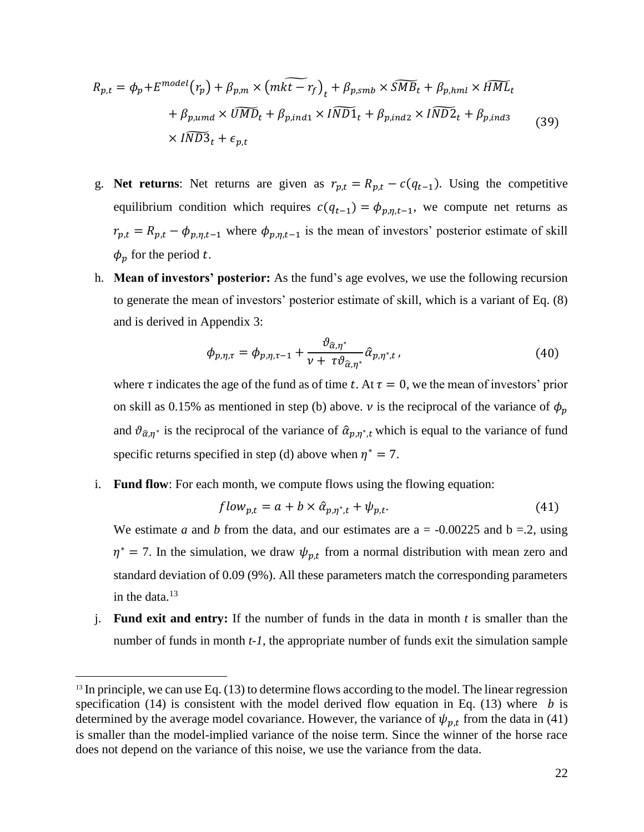$$
R_{p,t} = \phi_p + E^{model}(r_p) + \beta_{p,m} \times (m\widetilde{kt - r_f})_t + \beta_{p,smb} \times \widetilde{SMB}_t + \beta_{p,hml} \times \widetilde{HML}_t
$$
  
+  $\beta_{p,umd} \times \widetilde{UMD}_t + \beta_{p,ind1} \times \widetilde{IND1}_t + \beta_{p,ind2} \times \widetilde{IND2}_t + \beta_{p,ind3}$  (39)  
 $\times \widetilde{IND3}_t + \epsilon_{p,t}$ 

- g. **Net returns**: Net returns are given as  $r_{p,t} = R_{p,t} c(q_{t-1})$ . Using the competitive equilibrium condition which requires  $c(q_{t-1}) = \phi_{p,\eta,t-1}$ , we compute net returns as  $r_{p,t} = R_{p,t} - \phi_{p,\eta,t-1}$  where  $\phi_{p,\eta,t-1}$  is the mean of investors' posterior estimate of skill  $\phi_n$  for the period t.
- h. **Mean of investors' posterior:** As the fund's age evolves, we use the following recursion to generate the mean of investors' posterior estimate of skill, which is a variant of Eq. (8) and is derived in Appendix 3:

$$
\phi_{p,\eta,\tau} = \phi_{p,\eta,\tau-1} + \frac{\vartheta_{\hat{\alpha},\eta^*}}{\nu + \tau \vartheta_{\hat{\alpha},\eta^*}} \hat{\alpha}_{p,\eta^*,t},
$$
\n(40)

where  $\tau$  indicates the age of the fund as of time t. At  $\tau = 0$ , we the mean of investors' prior on skill as 0.15% as mentioned in step (b) above.  $\nu$  is the reciprocal of the variance of  $\phi_p$ and  $\vartheta_{\hat{\alpha},\eta^*}$  is the reciprocal of the variance of  $\hat{\alpha}_{p,\eta^*,t}$  which is equal to the variance of fund specific returns specified in step (d) above when  $\eta^* = 7$ .

i. **Fund flow**: For each month, we compute flows using the flowing equation:

$$
flow_{p,t} = a + b \times \hat{\alpha}_{p,\eta^*,t} + \psi_{p,t}.
$$
\n<sup>(41)</sup>

We estimate *a* and *b* from the data, and our estimates are  $a = -0.00225$  and  $b = 0.2$ , using  $\eta^* = 7$ . In the simulation, we draw  $\psi_{p,t}$  from a normal distribution with mean zero and standard deviation of 0.09 (9%). All these parameters match the corresponding parameters in the data. $13$ 

j. **Fund exit and entry:** If the number of funds in the data in month *t* is smaller than the number of funds in month *t-1*, the appropriate number of funds exit the simulation sample

 $\overline{\phantom{a}}$ 

<sup>&</sup>lt;sup>13</sup> In principle, we can use Eq. (13) to determine flows according to the model. The linear regression specification (14) is consistent with the model derived flow equation in Eq. (13) where  $b$  is determined by the average model covariance. However, the variance of  $\psi_{p,t}$  from the data in (41) is smaller than the model-implied variance of the noise term. Since the winner of the horse race does not depend on the variance of this noise, we use the variance from the data.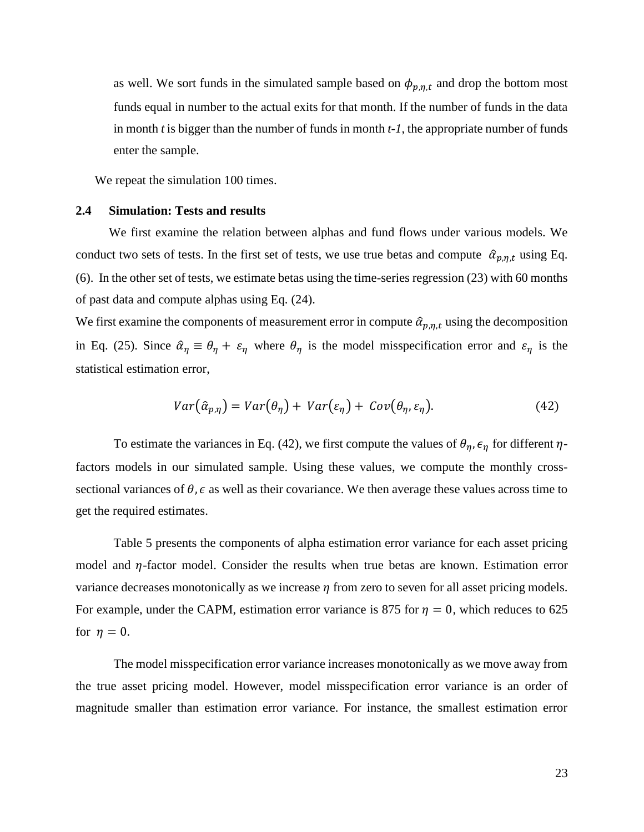as well. We sort funds in the simulated sample based on  $\phi_{p,\eta,t}$  and drop the bottom most funds equal in number to the actual exits for that month. If the number of funds in the data in month *t* is bigger than the number of funds in month *t-1*, the appropriate number of funds enter the sample.

We repeat the simulation 100 times.

#### **2.4 Simulation: Tests and results**

We first examine the relation between alphas and fund flows under various models. We conduct two sets of tests. In the first set of tests, we use true betas and compute  $\hat{\alpha}_{p,n,t}$  using Eq. (6). In the other set of tests, we estimate betas using the time-series regression (23) with 60 months of past data and compute alphas using Eq. (24).

We first examine the components of measurement error in compute  $\hat{\alpha}_{p,n,t}$  using the decomposition in Eq. (25). Since  $\hat{\alpha}_{\eta} \equiv \theta_{\eta} + \varepsilon_{\eta}$  where  $\theta_{\eta}$  is the model misspecification error and  $\varepsilon_{\eta}$  is the statistical estimation error,

$$
Var(\hat{\alpha}_{p,\eta}) = Var(\theta_{\eta}) + Var(\varepsilon_{\eta}) + Cov(\theta_{\eta}, \varepsilon_{\eta}).
$$
\n(42)

To estimate the variances in Eq. (42), we first compute the values of  $\theta_n$ ,  $\epsilon_n$  for different  $\eta$ factors models in our simulated sample. Using these values, we compute the monthly crosssectional variances of  $\theta$ ,  $\epsilon$  as well as their covariance. We then average these values across time to get the required estimates.

Table 5 presents the components of alpha estimation error variance for each asset pricing model and  $\eta$ -factor model. Consider the results when true betas are known. Estimation error variance decreases monotonically as we increase  $\eta$  from zero to seven for all asset pricing models. For example, under the CAPM, estimation error variance is 875 for  $\eta = 0$ , which reduces to 625 for  $\eta = 0$ .

The model misspecification error variance increases monotonically as we move away from the true asset pricing model. However, model misspecification error variance is an order of magnitude smaller than estimation error variance. For instance, the smallest estimation error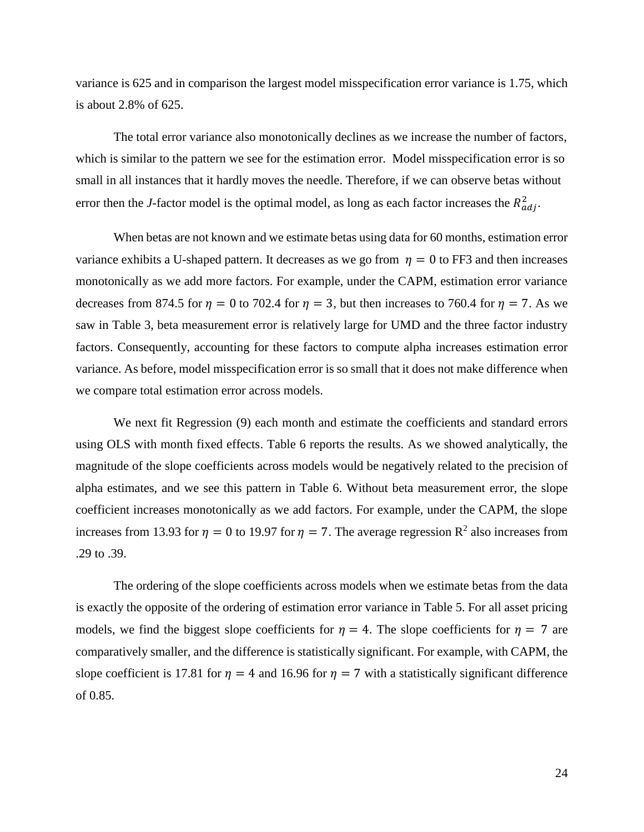variance is 625 and in comparison the largest model misspecification error variance is 1.75, which is about 2.8% of 625.

The total error variance also monotonically declines as we increase the number of factors, which is similar to the pattern we see for the estimation error. Model misspecification error is so small in all instances that it hardly moves the needle. Therefore, if we can observe betas without error then the *J*-factor model is the optimal model, as long as each factor increases the  $R_{adj}^2$ .

When betas are not known and we estimate betas using data for 60 months, estimation error variance exhibits a U-shaped pattern. It decreases as we go from  $\eta = 0$  to FF3 and then increases monotonically as we add more factors. For example, under the CAPM, estimation error variance decreases from 874.5 for  $\eta = 0$  to 702.4 for  $\eta = 3$ , but then increases to 760.4 for  $\eta = 7$ . As we saw in Table 3, beta measurement error is relatively large for UMD and the three factor industry factors. Consequently, accounting for these factors to compute alpha increases estimation error variance. As before, model misspecification error is so small that it does not make difference when we compare total estimation error across models.

We next fit Regression (9) each month and estimate the coefficients and standard errors using OLS with month fixed effects. Table 6 reports the results. As we showed analytically, the magnitude of the slope coefficients across models would be negatively related to the precision of alpha estimates, and we see this pattern in Table 6. Without beta measurement error, the slope coefficient increases monotonically as we add factors. For example, under the CAPM, the slope increases from 13.93 for  $\eta = 0$  to 19.97 for  $\eta = 7$ . The average regression R<sup>2</sup> also increases from .29 to .39.

The ordering of the slope coefficients across models when we estimate betas from the data is exactly the opposite of the ordering of estimation error variance in Table 5. For all asset pricing models, we find the biggest slope coefficients for  $\eta = 4$ . The slope coefficients for  $\eta = 7$  are comparatively smaller, and the difference is statistically significant. For example, with CAPM, the slope coefficient is 17.81 for  $\eta = 4$  and 16.96 for  $\eta = 7$  with a statistically significant difference of 0.85.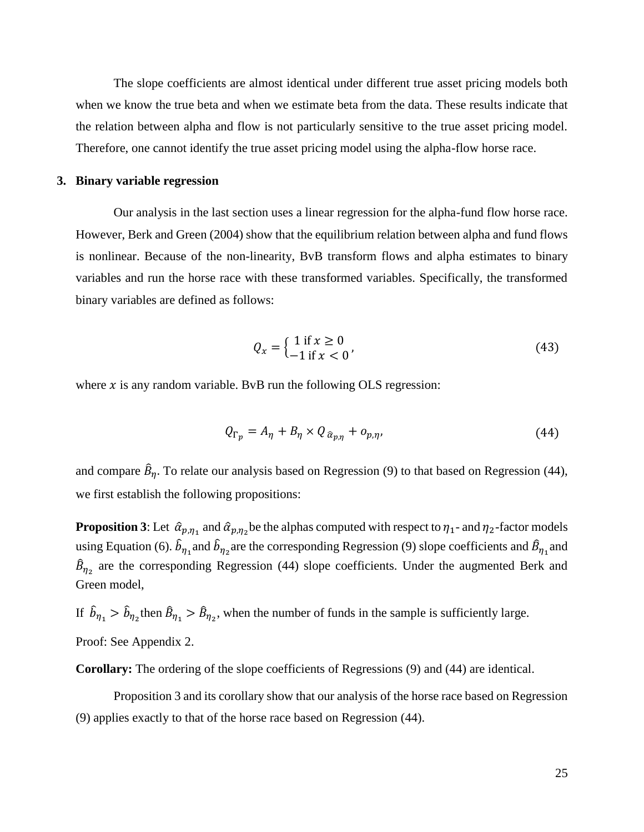The slope coefficients are almost identical under different true asset pricing models both when we know the true beta and when we estimate beta from the data. These results indicate that the relation between alpha and flow is not particularly sensitive to the true asset pricing model. Therefore, one cannot identify the true asset pricing model using the alpha-flow horse race.

#### **3. Binary variable regression**

Our analysis in the last section uses a linear regression for the alpha-fund flow horse race. However, Berk and Green (2004) show that the equilibrium relation between alpha and fund flows is nonlinear. Because of the non-linearity, BvB transform flows and alpha estimates to binary variables and run the horse race with these transformed variables. Specifically, the transformed binary variables are defined as follows:

$$
Q_x = \begin{cases} 1 & \text{if } x \ge 0 \\ -1 & \text{if } x < 0 \end{cases} \tag{43}
$$

where  $x$  is any random variable. BvB run the following OLS regression:

$$
Q_{\Gamma_p} = A_\eta + B_\eta \times Q_{\hat{\alpha}_{p,\eta}} + o_{p,\eta},\tag{44}
$$

and compare  $\hat{B}_{\eta}$ . To relate our analysis based on Regression (9) to that based on Regression (44), we first establish the following propositions:

**Proposition 3:** Let  $\hat{\alpha}_{p,\eta_1}$  and  $\hat{\alpha}_{p,\eta_2}$  be the alphas computed with respect to  $\eta_1$ - and  $\eta_2$ -factor models using Equation (6).  $\hat{b}_{\eta_1}$  and  $\hat{b}_{\eta_2}$  are the corresponding Regression (9) slope coefficients and  $\hat{B}_{\eta_1}$  and  $\hat{B}_{\eta_2}$  are the corresponding Regression (44) slope coefficients. Under the augmented Berk and Green model,

If  $\hat{b}_{\eta_1} > \hat{b}_{\eta_2}$  then  $\hat{B}_{\eta_1} > \hat{B}_{\eta_2}$ , when the number of funds in the sample is sufficiently large.

Proof: See Appendix 2.

**Corollary:** The ordering of the slope coefficients of Regressions (9) and (44) are identical.

Proposition 3 and its corollary show that our analysis of the horse race based on Regression (9) applies exactly to that of the horse race based on Regression (44).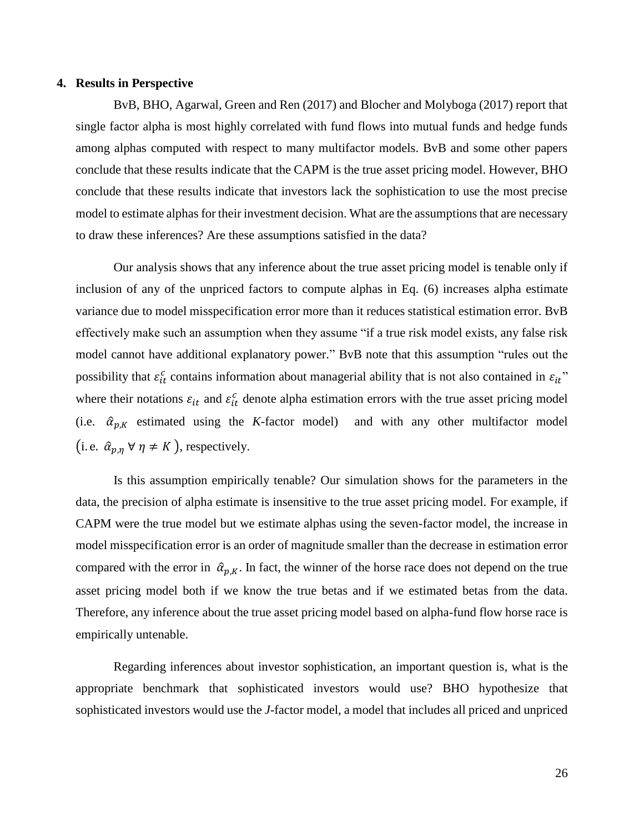#### **4. Results in Perspective**

BvB, BHO, Agarwal, Green and Ren (2017) and Blocher and Molyboga (2017) report that single factor alpha is most highly correlated with fund flows into mutual funds and hedge funds among alphas computed with respect to many multifactor models. BvB and some other papers conclude that these results indicate that the CAPM is the true asset pricing model. However, BHO conclude that these results indicate that investors lack the sophistication to use the most precise model to estimate alphas for their investment decision. What are the assumptions that are necessary to draw these inferences? Are these assumptions satisfied in the data?

Our analysis shows that any inference about the true asset pricing model is tenable only if inclusion of any of the unpriced factors to compute alphas in Eq. (6) increases alpha estimate variance due to model misspecification error more than it reduces statistical estimation error. BvB effectively make such an assumption when they assume "if a true risk model exists, any false risk model cannot have additional explanatory power." BvB note that this assumption "rules out the possibility that  $\varepsilon_{it}^c$  contains information about managerial ability that is not also contained in  $\varepsilon_{it}$ " where their notations  $\varepsilon_{it}$  and  $\varepsilon_{it}^c$  denote alpha estimation errors with the true asset pricing model (i.e.  $\hat{\alpha}_{n,k}$  estimated using the *K*-factor model) and with any other multifactor model (i. e.  $\hat{\alpha}_{p,n} \forall \eta \neq K$ ), respectively.

Is this assumption empirically tenable? Our simulation shows for the parameters in the data, the precision of alpha estimate is insensitive to the true asset pricing model. For example, if CAPM were the true model but we estimate alphas using the seven-factor model, the increase in model misspecification error is an order of magnitude smaller than the decrease in estimation error compared with the error in  $\hat{\alpha}_{p,K}$ . In fact, the winner of the horse race does not depend on the true asset pricing model both if we know the true betas and if we estimated betas from the data. Therefore, any inference about the true asset pricing model based on alpha-fund flow horse race is empirically untenable.

Regarding inferences about investor sophistication, an important question is, what is the appropriate benchmark that sophisticated investors would use? BHO hypothesize that sophisticated investors would use the *J*-factor model, a model that includes all priced and unpriced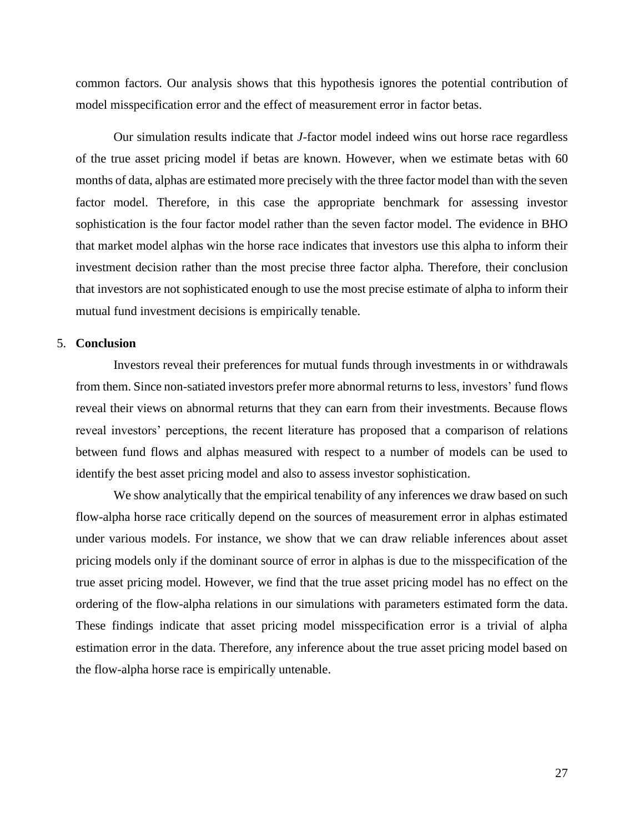common factors. Our analysis shows that this hypothesis ignores the potential contribution of model misspecification error and the effect of measurement error in factor betas.

Our simulation results indicate that *J*-factor model indeed wins out horse race regardless of the true asset pricing model if betas are known. However, when we estimate betas with 60 months of data, alphas are estimated more precisely with the three factor model than with the seven factor model. Therefore, in this case the appropriate benchmark for assessing investor sophistication is the four factor model rather than the seven factor model. The evidence in BHO that market model alphas win the horse race indicates that investors use this alpha to inform their investment decision rather than the most precise three factor alpha. Therefore, their conclusion that investors are not sophisticated enough to use the most precise estimate of alpha to inform their mutual fund investment decisions is empirically tenable.

## 5. **Conclusion**

Investors reveal their preferences for mutual funds through investments in or withdrawals from them. Since non-satiated investors prefer more abnormal returns to less, investors' fund flows reveal their views on abnormal returns that they can earn from their investments. Because flows reveal investors' perceptions, the recent literature has proposed that a comparison of relations between fund flows and alphas measured with respect to a number of models can be used to identify the best asset pricing model and also to assess investor sophistication.

We show analytically that the empirical tenability of any inferences we draw based on such flow-alpha horse race critically depend on the sources of measurement error in alphas estimated under various models. For instance, we show that we can draw reliable inferences about asset pricing models only if the dominant source of error in alphas is due to the misspecification of the true asset pricing model. However, we find that the true asset pricing model has no effect on the ordering of the flow-alpha relations in our simulations with parameters estimated form the data. These findings indicate that asset pricing model misspecification error is a trivial of alpha estimation error in the data. Therefore, any inference about the true asset pricing model based on the flow-alpha horse race is empirically untenable.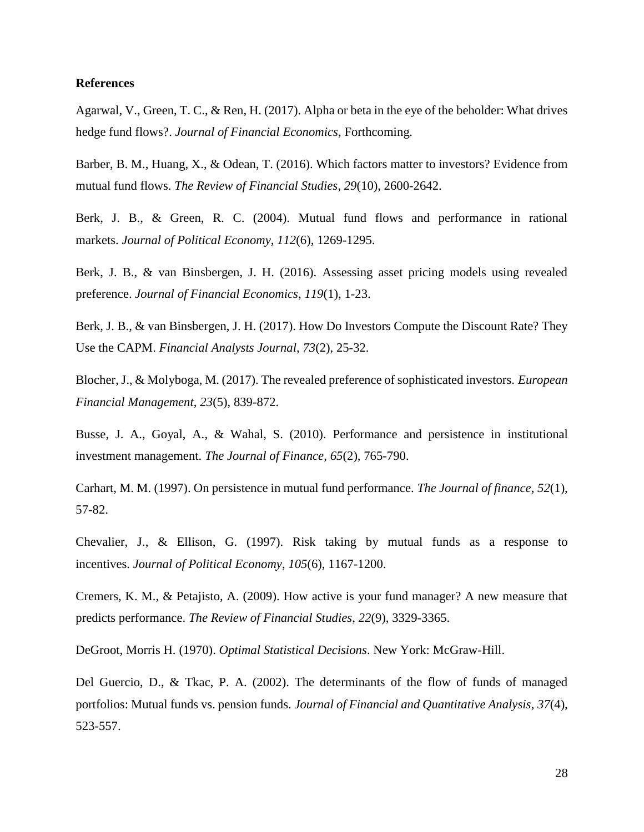#### **References**

Agarwal, V., Green, T. C., & Ren, H. (2017). Alpha or beta in the eye of the beholder: What drives hedge fund flows?. *Journal of Financial Economics,* Forthcoming*.*

Barber, B. M., Huang, X., & Odean, T. (2016). Which factors matter to investors? Evidence from mutual fund flows. *The Review of Financial Studies*, *29*(10), 2600-2642.

Berk, J. B., & Green, R. C. (2004). Mutual fund flows and performance in rational markets. *Journal of Political Economy*, *112*(6), 1269-1295.

Berk, J. B., & van Binsbergen, J. H. (2016). Assessing asset pricing models using revealed preference. *Journal of Financial Economics*, *119*(1), 1-23.

Berk, J. B., & van Binsbergen, J. H. (2017). How Do Investors Compute the Discount Rate? They Use the CAPM. *Financial Analysts Journal*, *73*(2), 25-32.

Blocher, J., & Molyboga, M. (2017). The revealed preference of sophisticated investors. *European Financial Management*, *23*(5), 839-872.

Busse, J. A., Goyal, A., & Wahal, S. (2010). Performance and persistence in institutional investment management. *The Journal of Finance*, *65*(2), 765-790.

Carhart, M. M. (1997). On persistence in mutual fund performance. *The Journal of finance*, *52*(1), 57-82.

Chevalier, J., & Ellison, G. (1997). Risk taking by mutual funds as a response to incentives. *Journal of Political Economy*, *105*(6), 1167-1200.

Cremers, K. M., & Petajisto, A. (2009). How active is your fund manager? A new measure that predicts performance. *The Review of Financial Studies*, *22*(9), 3329-3365.

DeGroot, Morris H. (1970). *Optimal Statistical Decisions*. New York: McGraw-Hill.

Del Guercio, D., & Tkac, P. A. (2002). The determinants of the flow of funds of managed portfolios: Mutual funds vs. pension funds. *Journal of Financial and Quantitative Analysis*, *37*(4), 523-557.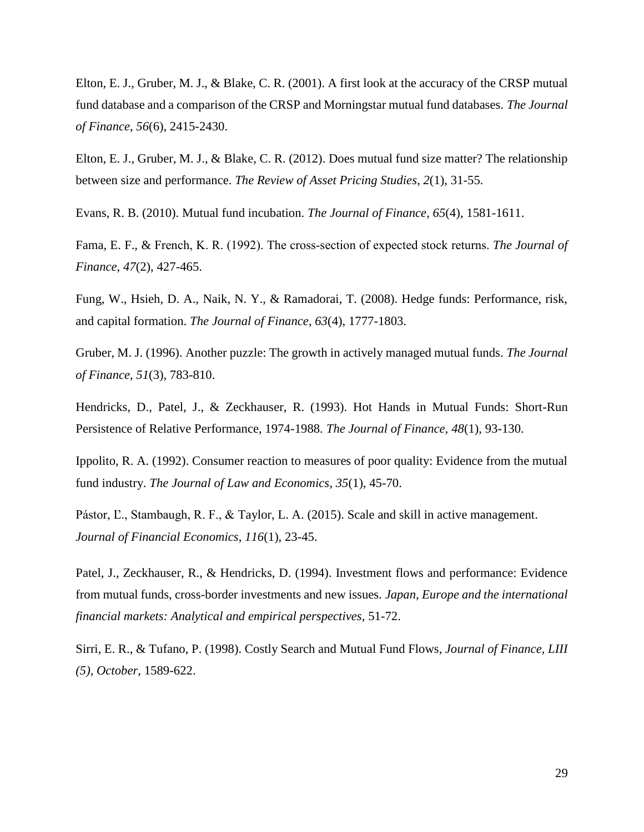Elton, E. J., Gruber, M. J., & Blake, C. R. (2001). A first look at the accuracy of the CRSP mutual fund database and a comparison of the CRSP and Morningstar mutual fund databases. *The Journal of Finance*, *56*(6), 2415-2430.

Elton, E. J., Gruber, M. J., & Blake, C. R. (2012). Does mutual fund size matter? The relationship between size and performance. *The Review of Asset Pricing Studies*, *2*(1), 31-55.

Evans, R. B. (2010). Mutual fund incubation. *The Journal of Finance*, *65*(4), 1581-1611.

Fama, E. F., & French, K. R. (1992). The cross‐section of expected stock returns. *The Journal of Finance*, *47*(2), 427-465.

Fung, W., Hsieh, D. A., Naik, N. Y., & Ramadorai, T. (2008). Hedge funds: Performance, risk, and capital formation. *The Journal of Finance*, *63*(4), 1777-1803.

Gruber, M. J. (1996). Another puzzle: The growth in actively managed mutual funds. *The Journal of Finance*, *51*(3), 783-810.

Hendricks, D., Patel, J., & Zeckhauser, R. (1993). Hot Hands in Mutual Funds: Short-Run Persistence of Relative Performance, 1974-1988. *The Journal of Finance, 48*(1), 93-130.

Ippolito, R. A. (1992). Consumer reaction to measures of poor quality: Evidence from the mutual fund industry. *The Journal of Law and Economics*, *35*(1), 45-70.

Pástor, Ľ., Stambaugh, R. F., & Taylor, L. A. (2015). Scale and skill in active management. *Journal of Financial Economics*, *116*(1), 23-45.

Patel, J., Zeckhauser, R., & Hendricks, D. (1994). Investment flows and performance: Evidence from mutual funds, cross-border investments and new issues. *Japan, Europe and the international financial markets: Analytical and empirical perspectives*, 51-72.

Sirri, E. R., & Tufano, P. (1998). Costly Search and Mutual Fund Flows*, Journal of Finance, LIII (5), October*, 1589-622.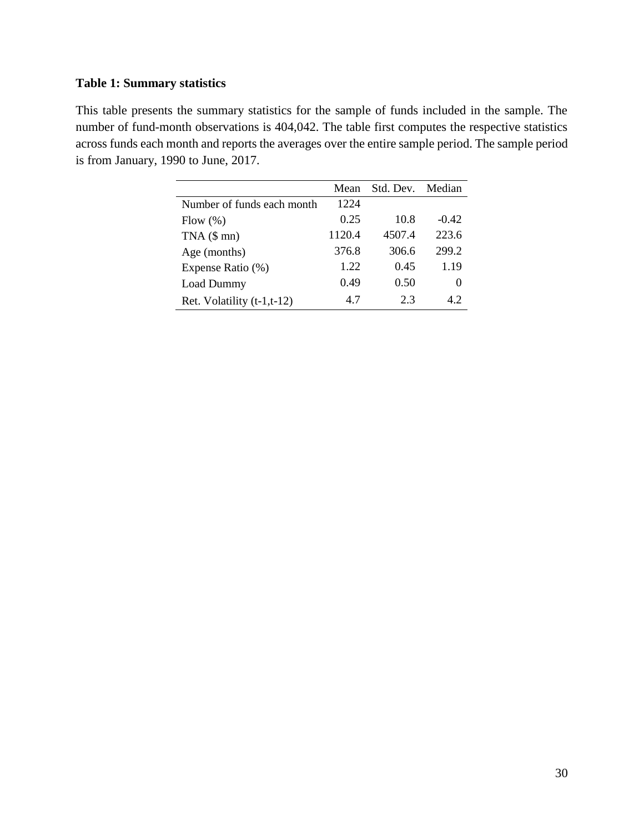# **Table 1: Summary statistics**

This table presents the summary statistics for the sample of funds included in the sample. The number of fund-month observations is 404,042. The table first computes the respective statistics across funds each month and reports the averages over the entire sample period. The sample period is from January, 1990 to June, 2017.

|                              | Mean   | Std. Dev. | Median   |
|------------------------------|--------|-----------|----------|
| Number of funds each month   | 1224   |           |          |
| Flow $(\%)$                  | 0.25   | 10.8      | $-0.42$  |
| $TNA$ ( $$mn)$ )             | 1120.4 | 4507.4    | 223.6    |
| Age (months)                 | 376.8  | 306.6     | 299.2    |
| Expense Ratio (%)            | 1.22   | 0.45      | 1.19     |
| <b>Load Dummy</b>            | 0.49   | 0.50      | $\theta$ |
| Ret. Volatility $(t-1,t-12)$ | 4.7    | 2.3       | 42       |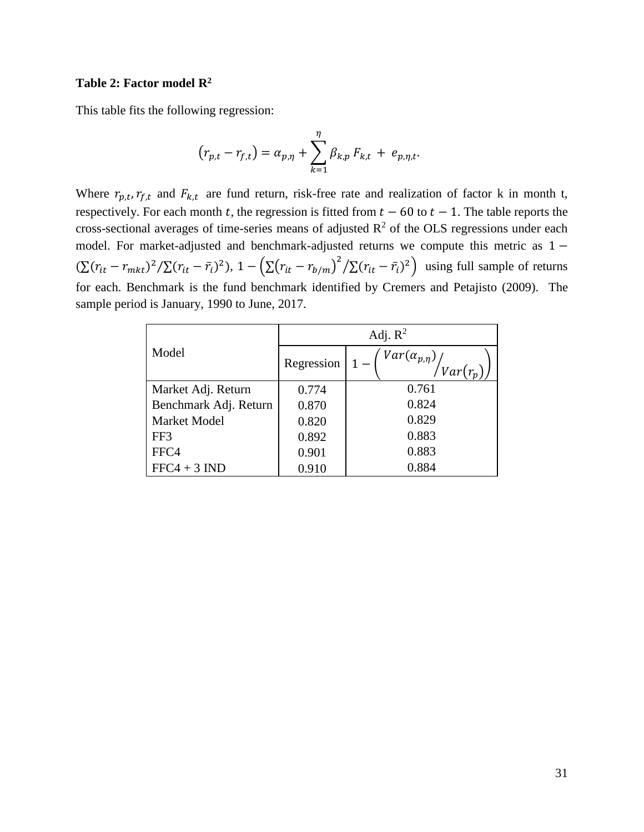### **Table 2: Factor model R<sup>2</sup>**

This table fits the following regression:

$$
(r_{p,t} - r_{f,t}) = \alpha_{p,\eta} + \sum_{k=1}^{\eta} \beta_{k,p} F_{k,t} + e_{p,\eta,t}.
$$

Where  $r_{p,t}$ ,  $r_{f,t}$  and  $F_{k,t}$  are fund return, risk-free rate and realization of factor k in month t, respectively. For each month t, the regression is fitted from  $t - 60$  to  $t - 1$ . The table reports the cross-sectional averages of time-series means of adjusted  $R^2$  of the OLS regressions under each model. For market-adjusted and benchmark-adjusted returns we compute this metric as 1 −  $(\sum (r_{it} - r_{mkt})^2 / \sum (r_{it} - \bar{r}_i)^2)$ ,  $1 - (\sum (r_{it} - r_{b/m})^2 / \sum (r_{it} - \bar{r}_i)^2)$  using full sample of returns for each. Benchmark is the fund benchmark identified by Cremers and Petajisto (2009). The sample period is January, 1990 to June, 2017.

|                       | Adj. $R^2$        |                                    |  |  |  |  |  |
|-----------------------|-------------------|------------------------------------|--|--|--|--|--|
| Model                 | Regression $ 1 -$ | $Var(\alpha_{p,\eta})\Big _{Var'}$ |  |  |  |  |  |
| Market Adj. Return    | 0.774             | 0.761                              |  |  |  |  |  |
| Benchmark Adj. Return | 0.870             | 0.824                              |  |  |  |  |  |
| Market Model          | 0.820             | 0.829                              |  |  |  |  |  |
| FF3                   | 0.892             | 0.883                              |  |  |  |  |  |
| FFC4                  | 0.901             | 0.883                              |  |  |  |  |  |
| $FFC4 + 3 IND$        | 0.910             | 0.884                              |  |  |  |  |  |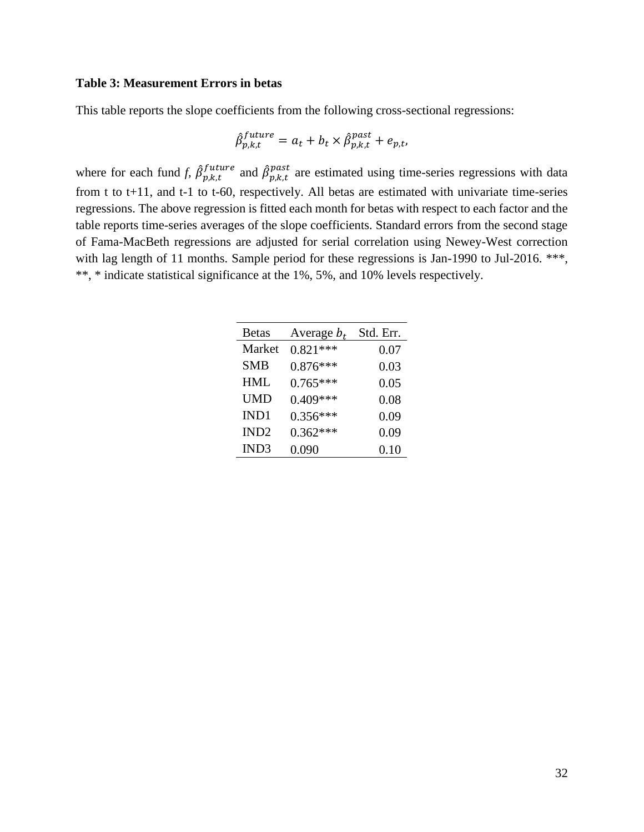#### **Table 3: Measurement Errors in betas**

This table reports the slope coefficients from the following cross-sectional regressions:

$$
\hat{\beta}_{p,k,t}^{future} = a_t + b_t \times \hat{\beta}_{p,k,t}^{past} + e_{p,t},
$$

where for each fund *f,*  $\hat{\beta}_{p,k,t}^{future}$  and  $\hat{\beta}_{p,k,t}^{past}$  are estimated using time-series regressions with data from t to t+11, and t-1 to t-60, respectively. All betas are estimated with univariate time-series regressions. The above regression is fitted each month for betas with respect to each factor and the table reports time-series averages of the slope coefficients. Standard errors from the second stage of Fama-MacBeth regressions are adjusted for serial correlation using Newey-West correction with lag length of 11 months. Sample period for these regressions is Jan-1990 to Jul-2016. \*\*\*, \*\*, \* indicate statistical significance at the 1%, 5%, and 10% levels respectively.

| <b>Betas</b>     | Average $b_t$ | Std. Err. |
|------------------|---------------|-----------|
| Market           | $0.821***$    | 0.07      |
| <b>SMB</b>       | $0.876***$    | 0.03      |
| <b>HML</b>       | $0.765***$    | 0.05      |
| <b>UMD</b>       | $0.409***$    | 0.08      |
| IND1             | $0.356***$    | 0.09      |
| IND <sub>2</sub> | $0.362***$    | 0.09      |
| IND <sub>3</sub> | 0.090         | 0.10      |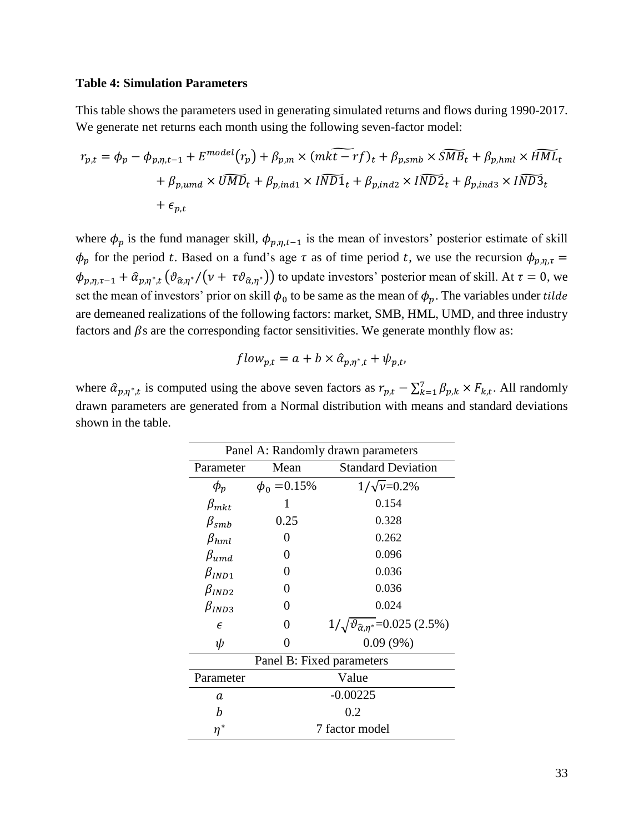#### **Table 4: Simulation Parameters**

This table shows the parameters used in generating simulated returns and flows during 1990-2017. We generate net returns each month using the following seven-factor model:

$$
r_{p,t} = \phi_p - \phi_{p,\eta,t-1} + E^{model}(r_p) + \beta_{p,m} \times (mk\widetilde{t-rf})_t + \beta_{p,smb} \times \widetilde{SMB}_t + \beta_{p,hml} \times \widetilde{HML}_t
$$
  
+  $\beta_{p,umd} \times \widetilde{UMD}_t + \beta_{p,ind1} \times \widetilde{IND1}_t + \beta_{p,ind2} \times \widetilde{IND2}_t + \beta_{p,ind3} \times \widetilde{IND3}_t$   
+  $\epsilon_{p,t}$ 

where  $\phi_p$  is the fund manager skill,  $\phi_{p,n,t-1}$  is the mean of investors' posterior estimate of skill  $\phi_p$  for the period t. Based on a fund's age  $\tau$  as of time period t, we use the recursion  $\phi_{p,\eta,\tau}$  =  $\phi_{p,\eta,\tau-1} + \hat{\alpha}_{p,\eta^*,t} (\vartheta_{\hat{\alpha},\eta^*}/(\nu + \tau \vartheta_{\hat{\alpha},\eta^*}))$  to update investors' posterior mean of skill. At  $\tau = 0$ , we set the mean of investors' prior on skill  $\phi_0$  to be same as the mean of  $\phi_p$ . The variables under tilde are demeaned realizations of the following factors: market, SMB, HML, UMD, and three industry factors and  $\beta$ s are the corresponding factor sensitivities. We generate monthly flow as:

$$
flow_{p,t} = a + b \times \hat{\alpha}_{p,\eta^*,t} + \psi_{p,t},
$$

where  $\hat{a}_{p,\eta^*,t}$  is computed using the above seven factors as  $r_{p,t} - \sum_{k=1}^{7} \beta_{p,k} \times F_{k,t}$ . All randomly drawn parameters are generated from a Normal distribution with means and standard deviations shown in the table.

| Panel A: Randomly drawn parameters |                   |                                                    |  |  |  |  |  |  |
|------------------------------------|-------------------|----------------------------------------------------|--|--|--|--|--|--|
| Parameter                          | Mean              | <b>Standard Deviation</b>                          |  |  |  |  |  |  |
| $\phi_p$                           | $\phi_0 = 0.15\%$ | $1/\sqrt{\nu} = 0.2\%$                             |  |  |  |  |  |  |
| $\beta_{mkt}$                      | 1                 | 0.154                                              |  |  |  |  |  |  |
| $\beta_{smb}$                      | 0.25              | 0.328                                              |  |  |  |  |  |  |
| $\beta_{hml}$                      | 0                 | 0.262                                              |  |  |  |  |  |  |
| $\beta_{und}$                      | 0                 | 0.096                                              |  |  |  |  |  |  |
| $\beta_{IND1}$                     | 0                 | 0.036                                              |  |  |  |  |  |  |
| $\beta_{IND2}$                     | 0                 | 0.036                                              |  |  |  |  |  |  |
| $\beta_{IND3}$                     | 0                 | 0.024                                              |  |  |  |  |  |  |
| $\epsilon$                         | 0                 | $1/\sqrt{\theta_{\hat{\alpha},n^*}}$ =0.025 (2.5%) |  |  |  |  |  |  |
| ψ                                  | 0                 | 0.09(9%)                                           |  |  |  |  |  |  |
|                                    |                   | Panel B: Fixed parameters                          |  |  |  |  |  |  |
| Parameter                          |                   | Value                                              |  |  |  |  |  |  |
| a                                  |                   | $-0.00225$                                         |  |  |  |  |  |  |
| b                                  |                   | 0.2                                                |  |  |  |  |  |  |
| $\eta^*$                           |                   | 7 factor model                                     |  |  |  |  |  |  |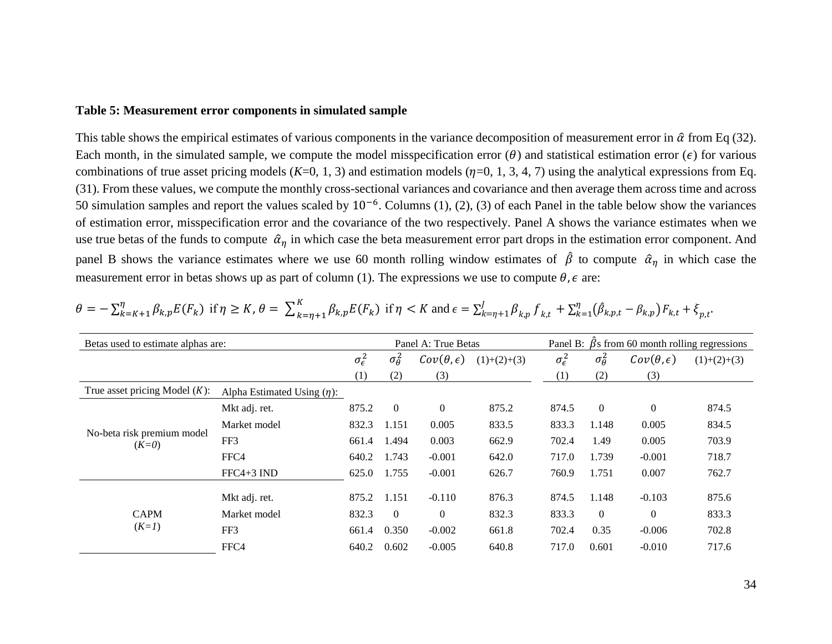### **Table 5: Measurement error components in simulated sample**

This table shows the empirical estimates of various components in the variance decomposition of measurement error in  $\hat{\alpha}$  from Eq (32). Each month, in the simulated sample, we compute the model misspecification error ( $\theta$ ) and statistical estimation error ( $\epsilon$ ) for various combinations of true asset pricing models  $(K=0, 1, 3)$  and estimation models  $(\eta=0, 1, 3, 4, 7)$  using the analytical expressions from Eq. (31). From these values, we compute the monthly cross-sectional variances and covariance and then average them across time and across 50 simulation samples and report the values scaled by 10<sup>-6</sup>. Columns (1), (2), (3) of each Panel in the table below show the variances of estimation error, misspecification error and the covariance of the two respectively. Panel A shows the variance estimates when we use true betas of the funds to compute  $\hat{\alpha}_n$  in which case the beta measurement error part drops in the estimation error component. And panel B shows the variance estimates where we use 60 month rolling window estimates of  $\hat{\beta}$  to compute  $\hat{\alpha}_n$  in which case the measurement error in betas shows up as part of column (1). The expressions we use to compute  $\theta$ ,  $\epsilon$  are:

| Betas used to estimate alphas are:    |                                  |                       |                     | Panel A: True Betas     |               | Panel B: $\hat{\beta}$ s from 60 month rolling regressions |                     |                         |               |  |
|---------------------------------------|----------------------------------|-----------------------|---------------------|-------------------------|---------------|------------------------------------------------------------|---------------------|-------------------------|---------------|--|
|                                       |                                  | $\sigma_{\epsilon}^2$ | $\sigma_{\theta}^2$ | $Cov(\theta, \epsilon)$ | $(1)+(2)+(3)$ | $\sigma_{\epsilon}^2$                                      | $\sigma_{\theta}^2$ | $Cov(\theta, \epsilon)$ | $(1)+(2)+(3)$ |  |
|                                       |                                  | (1)                   | (2)                 | (3)                     |               | (1)                                                        | (2)                 | (3)                     |               |  |
| True asset pricing Model $(K)$ :      | Alpha Estimated Using $(\eta)$ : |                       |                     |                         |               |                                                            |                     |                         |               |  |
|                                       | Mkt adj. ret.                    | 875.2                 | $\overline{0}$      | $\mathbf{0}$            | 875.2         | 874.5                                                      | $\Omega$            | $\overline{0}$          | 874.5         |  |
|                                       | Market model                     | 832.3                 | 1.151               | 0.005                   | 833.5         | 833.3                                                      | 1.148               | 0.005                   | 834.5         |  |
| No-beta risk premium model<br>$(K=0)$ | FF3                              | 661.4                 | 1.494               | 0.003                   | 662.9         | 702.4                                                      | 1.49                | 0.005                   | 703.9         |  |
|                                       | FFC4                             | 640.2                 | 1.743               | $-0.001$                | 642.0         | 717.0                                                      | 1.739               | $-0.001$                | 718.7         |  |
|                                       | $FFC4+3$ IND                     | 625.0                 | 1.755               | $-0.001$                | 626.7         | 760.9                                                      | 1.751               | 0.007                   | 762.7         |  |
|                                       | Mkt adj. ret.                    | 875.2                 | 1.151               | $-0.110$                | 876.3         | 874.5                                                      | 1.148               | $-0.103$                | 875.6         |  |
| <b>CAPM</b><br>$(K=1)$                | Market model                     | 832.3                 | $\overline{0}$      | $\overline{0}$          | 832.3         | 833.3                                                      | $\overline{0}$      | $\overline{0}$          | 833.3         |  |
|                                       | FF3                              | 661.4                 | 0.350               | $-0.002$                | 661.8         | 702.4                                                      | 0.35                | $-0.006$                | 702.8         |  |
|                                       | FFC4                             | 640.2                 | 0.602               | $-0.005$                | 640.8         | 717.0                                                      | 0.601               | $-0.010$                | 717.6         |  |

|  | $\theta = -\sum_{k=K+1}^{N} \beta_{k,p} E(F_k)$ if $\eta \ge K$ , $\theta = \sum_{k=\eta+1}^{K} \beta_{k,p} E(F_k)$ if $\eta < K$ and $\epsilon = \sum_{k=\eta+1}^{J} \beta_{k,p} f_{k,t} + \sum_{k=1}^{N} (\hat{\beta}_{k,p,t} - \beta_{k,p}) F_{k,t} + \xi_{p,t}$ |
|--|---------------------------------------------------------------------------------------------------------------------------------------------------------------------------------------------------------------------------------------------------------------------|
|--|---------------------------------------------------------------------------------------------------------------------------------------------------------------------------------------------------------------------------------------------------------------------|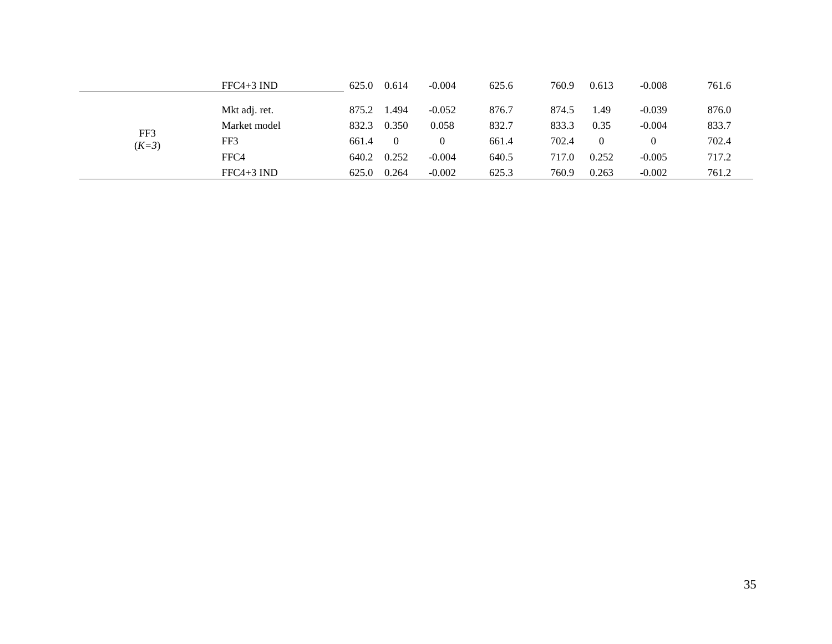|                | $FFC4+3$ IND  | 625.0 | 0.614    | $-0.004$ | 625.6 | 760.9 | 0.613    | $-0.008$ | 761.6 |
|----------------|---------------|-------|----------|----------|-------|-------|----------|----------|-------|
| FF3<br>$(K=3)$ | Mkt adj. ret. | 875.2 | .494     | $-0.052$ | 876.7 | 874.5 | .49      | $-0.039$ | 876.0 |
|                | Market model  | 832.3 | 0.350    | 0.058    | 832.7 | 833.3 | 0.35     | $-0.004$ | 833.7 |
|                | FF3           | 661.4 | $\theta$ |          | 661.4 | 702.4 | $\theta$ |          | 702.4 |
|                | FFC4          | 640.2 | 0.252    | $-0.004$ | 640.5 | 717.0 | 0.252    | $-0.005$ | 717.2 |
|                | $FFC4+3$ IND  | 625.0 | 0.264    | $-0.002$ | 625.3 | 760.9 | 0.263    | $-0.002$ | 761.2 |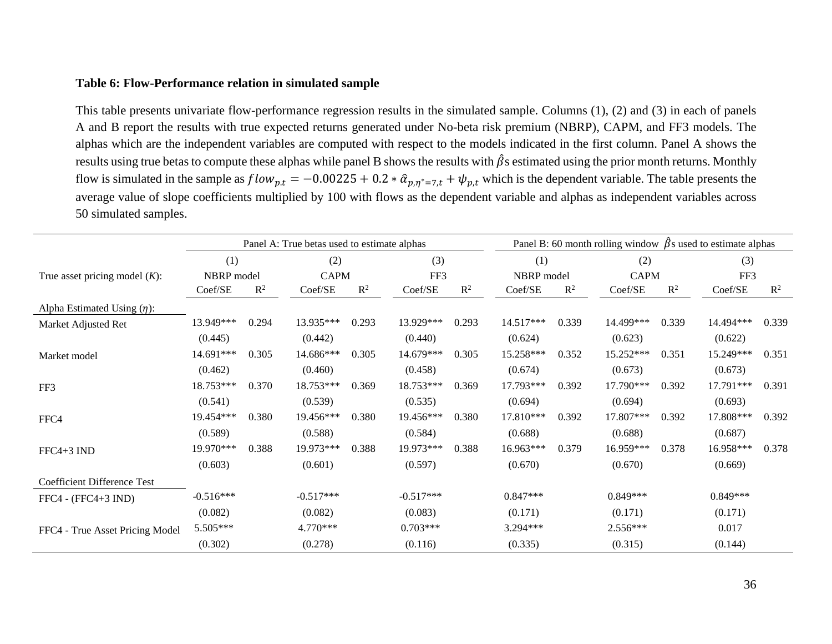# **Table 6: Flow-Performance relation in simulated sample**

This table presents univariate flow-performance regression results in the simulated sample. Columns (1), (2) and (3) in each of panels A and B report the results with true expected returns generated under No-beta risk premium (NBRP), CAPM, and FF3 models. The alphas which are the independent variables are computed with respect to the models indicated in the first column. Panel A shows the results using true betas to compute these alphas while panel B shows the results with  $\hat{\beta}$ s estimated using the prior month returns. Monthly flow is simulated in the sample as  $flow_{p,t} = -0.00225 + 0.2 * \hat{a}_{p,\eta^*=7,t} + \psi_{p,t}$  which is the dependent variable. The table presents the average value of slope coefficients multiplied by 100 with flows as the dependent variable and alphas as independent variables across 50 simulated samples.

|                                    | Panel A: True betas used to estimate alphas |                |             |                |             |                |            | Panel B: 60 month rolling window $\beta$ s used to estimate alphas |             |                |            |                |  |
|------------------------------------|---------------------------------------------|----------------|-------------|----------------|-------------|----------------|------------|--------------------------------------------------------------------|-------------|----------------|------------|----------------|--|
|                                    | (1)                                         | (2)            |             | (3)            |             | (1)            |            | (2)                                                                |             | (3)            |            |                |  |
| True asset pricing model $(K)$ :   | NBRP model                                  |                | <b>CAPM</b> |                |             | FF3            |            | NBRP model                                                         | <b>CAPM</b> |                | FF3        |                |  |
|                                    | Coef/SE                                     | $\mathbb{R}^2$ | Coef/SE     | $\mathbb{R}^2$ | Coef/SE     | $\mathbb{R}^2$ | Coef/SE    | $\mathbb{R}^2$                                                     | Coef/SE     | $\mathbb{R}^2$ | Coef/SE    | $\mathbb{R}^2$ |  |
| Alpha Estimated Using $(\eta)$ :   |                                             |                |             |                |             |                |            |                                                                    |             |                |            |                |  |
| Market Adjusted Ret                | 13.949***                                   | 0.294          | 13.935***   | 0.293          | 13.929***   | 0.293          | 14.517***  | 0.339                                                              | 14.499***   | 0.339          | 14.494***  | 0.339          |  |
|                                    | (0.445)                                     |                | (0.442)     |                | (0.440)     |                | (0.624)    |                                                                    | (0.623)     |                | (0.622)    |                |  |
| Market model                       | 14.691***                                   | 0.305          | 14.686***   | 0.305          | 14.679***   | 0.305          | 15.258***  | 0.352                                                              | 15.252***   | 0.351          | 15.249***  | 0.351          |  |
|                                    | (0.462)                                     |                | (0.460)     |                | (0.458)     |                | (0.674)    |                                                                    | (0.673)     |                | (0.673)    |                |  |
| FF3                                | 18.753***                                   | 0.370          | 18.753***   | 0.369          | 18.753***   | 0.369          | 17.793***  | 0.392                                                              | 17.790***   | 0.392          | 17.791***  | 0.391          |  |
|                                    | (0.541)                                     |                | (0.539)     |                | (0.535)     |                | (0.694)    |                                                                    | (0.694)     |                | (0.693)    |                |  |
| FFC4                               | 19.454***                                   | 0.380          | 19.456***   | 0.380          | 19.456***   | 0.380          | 17.810***  | 0.392                                                              | 17.807***   | 0.392          | 17.808***  | 0.392          |  |
|                                    | (0.589)                                     |                | (0.588)     |                | (0.584)     |                | (0.688)    |                                                                    | (0.688)     |                | (0.687)    |                |  |
| $FFC4+3$ IND                       | 19.970***                                   | 0.388          | 19.973***   | 0.388          | 19.973***   | 0.388          | 16.963***  | 0.379                                                              | 16.959***   | 0.378          | 16.958***  | 0.378          |  |
|                                    | (0.603)                                     |                | (0.601)     |                | (0.597)     |                | (0.670)    |                                                                    | (0.670)     |                | (0.669)    |                |  |
| <b>Coefficient Difference Test</b> |                                             |                |             |                |             |                |            |                                                                    |             |                |            |                |  |
| $FFC4 - (FFC4+3 IND)$              | $-0.516***$                                 |                | $-0.517***$ |                | $-0.517***$ |                | $0.847***$ |                                                                    | $0.849***$  |                | $0.849***$ |                |  |
|                                    | (0.082)                                     |                | (0.082)     |                | (0.083)     |                | (0.171)    |                                                                    | (0.171)     |                | (0.171)    |                |  |
| FFC4 - True Asset Pricing Model    | 5.505***                                    |                | 4.770***    |                | $0.703***$  |                | 3.294***   |                                                                    | 2.556***    |                | 0.017      |                |  |
|                                    | (0.302)                                     |                | (0.278)     |                | (0.116)     |                | (0.335)    |                                                                    | (0.315)     |                | (0.144)    |                |  |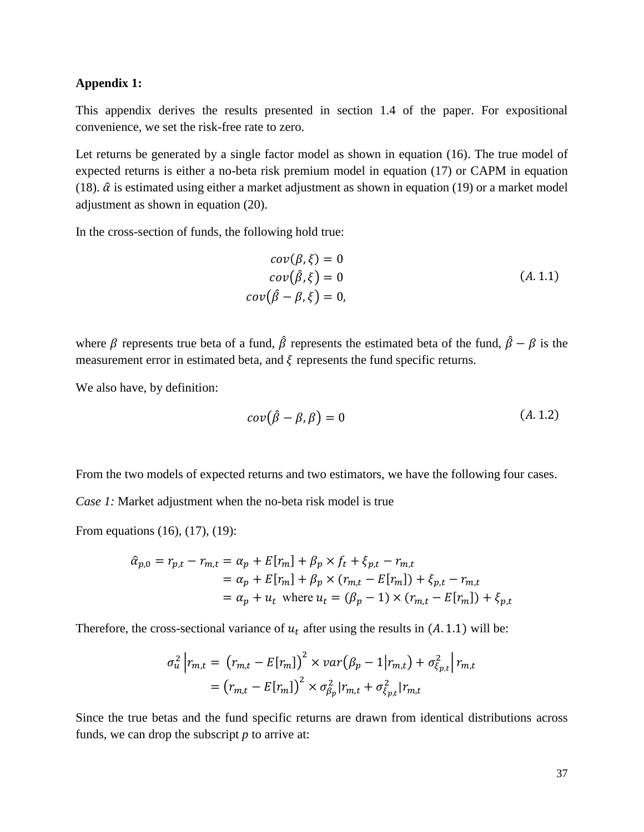#### **Appendix 1:**

This appendix derives the results presented in section 1.4 of the paper. For expositional convenience, we set the risk-free rate to zero.

Let returns be generated by a single factor model as shown in equation (16). The true model of expected returns is either a no-beta risk premium model in equation (17) or CAPM in equation (18).  $\hat{\alpha}$  is estimated using either a market adjustment as shown in equation (19) or a market model adjustment as shown in equation (20).

In the cross-section of funds, the following hold true:

$$
cov(\beta, \xi) = 0
$$
  
\n
$$
cov(\hat{\beta}, \xi) = 0
$$
  
\n
$$
cov(\hat{\beta} - \beta, \xi) = 0,
$$
  
\n
$$
(A. 1.1)
$$

where  $\beta$  represents true beta of a fund,  $\hat{\beta}$  represents the estimated beta of the fund,  $\hat{\beta} - \beta$  is the measurement error in estimated beta, and  $\xi$  represents the fund specific returns.

We also have, by definition:

$$
cov(\hat{\beta} - \beta, \beta) = 0 \tag{A.1.2}
$$

From the two models of expected returns and two estimators, we have the following four cases.

*Case 1:* Market adjustment when the no-beta risk model is true

From equations (16), (17), (19):

$$
\hat{\alpha}_{p,0} = r_{p,t} - r_{m,t} = \alpha_p + E[r_m] + \beta_p \times f_t + \xi_{p,t} - r_{m,t} \n= \alpha_p + E[r_m] + \beta_p \times (r_{m,t} - E[r_m]) + \xi_{p,t} - r_{m,t} \n= \alpha_p + u_t \text{ where } u_t = (\beta_p - 1) \times (r_{m,t} - E[r_m]) + \xi_{p,t}
$$

Therefore, the cross-sectional variance of  $u_t$  after using the results in (A. 1.1) will be:

$$
\sigma_u^2 \left| r_{m,t} = (r_{m,t} - E[r_m])^2 \times \varphi_r(\beta_p - 1 | r_{m,t}) + \sigma_{\xi_{p,t}}^2 \right| r_{m,t}
$$

$$
= (r_{m,t} - E[r_m])^2 \times \sigma_{\beta_p}^2 | r_{m,t} + \sigma_{\xi_{p,t}}^2 | r_{m,t}
$$

Since the true betas and the fund specific returns are drawn from identical distributions across funds, we can drop the subscript *p* to arrive at: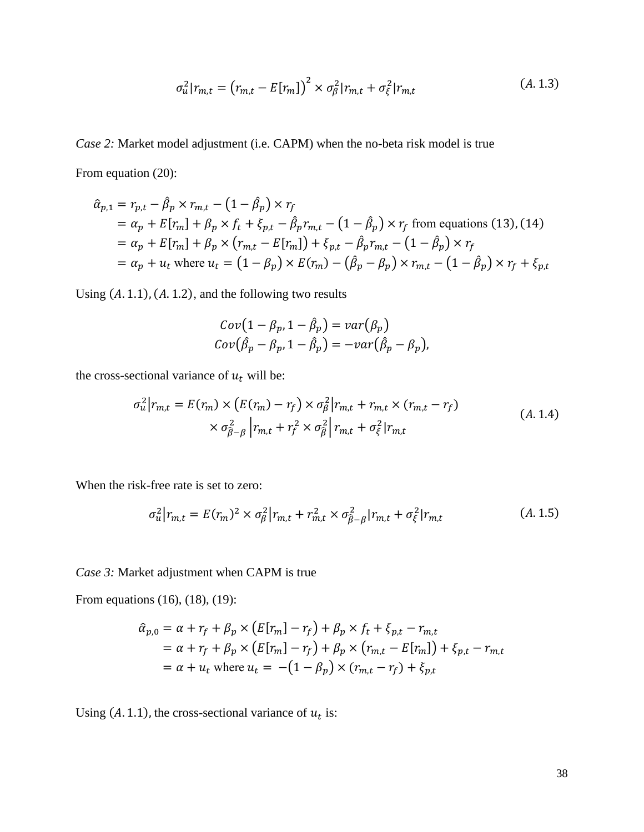$$
\sigma_u^2 | r_{m,t} = (r_{m,t} - E[r_m])^2 \times \sigma_\beta^2 | r_{m,t} + \sigma_\xi^2 | r_{m,t}
$$
\n(A. 1.3)

*Case 2:* Market model adjustment (i.e. CAPM) when the no-beta risk model is true From equation (20):

$$
\hat{\alpha}_{p,1} = r_{p,t} - \hat{\beta}_p \times r_{m,t} - (1 - \hat{\beta}_p) \times r_f
$$
  
\n
$$
= \alpha_p + E[r_m] + \beta_p \times f_t + \xi_{p,t} - \hat{\beta}_p r_{m,t} - (1 - \hat{\beta}_p) \times r_f \text{ from equations (13), (14)}
$$
  
\n
$$
= \alpha_p + E[r_m] + \beta_p \times (r_{m,t} - E[r_m]) + \xi_{p,t} - \hat{\beta}_p r_{m,t} - (1 - \hat{\beta}_p) \times r_f
$$
  
\n
$$
= \alpha_p + u_t \text{ where } u_t = (1 - \beta_p) \times E(r_m) - (\hat{\beta}_p - \beta_p) \times r_{m,t} - (1 - \hat{\beta}_p) \times r_f + \xi_{p,t}
$$

Using  $(A. 1.1)$ ,  $(A. 1.2)$ , and the following two results

$$
Cov(1 - \beta_p, 1 - \hat{\beta}_p) = var(\beta_p)
$$
  
\n
$$
Cov(\hat{\beta}_p - \beta_p, 1 - \hat{\beta}_p) = -var(\hat{\beta}_p - \beta_p),
$$

the cross-sectional variance of  $u_t$  will be:

$$
\sigma_u^2 | r_{m,t} = E(r_m) \times (E(r_m) - r_f) \times \sigma_\beta^2 | r_{m,t} + r_{m,t} \times (r_{m,t} - r_f)
$$
  
 
$$
\times \sigma_{\hat{\beta}-\beta}^2 | r_{m,t} + r_f^2 \times \sigma_{\hat{\beta}}^2 | r_{m,t} + \sigma_\xi^2 | r_{m,t}
$$
 (A. 1.4)

When the risk-free rate is set to zero:

$$
\sigma_u^2 \big| r_{m,t} = E(r_m)^2 \times \sigma_\beta^2 \big| r_{m,t} + r_{m,t}^2 \times \sigma_{\widehat{\beta}-\beta}^2 \big| r_{m,t} + \sigma_\xi^2 \big| r_{m,t} \tag{A.1.5}
$$

*Case 3:* Market adjustment when CAPM is true

From equations (16), (18), (19):

$$
\hat{\alpha}_{p,0} = \alpha + r_f + \beta_p \times (E[r_m] - r_f) + \beta_p \times f_t + \xi_{p,t} - r_{m,t}
$$
  
=  $\alpha + r_f + \beta_p \times (E[r_m] - r_f) + \beta_p \times (r_{m,t} - E[r_m]) + \xi_{p,t} - r_{m,t}$   
=  $\alpha + u_t$  where  $u_t = -(1 - \beta_p) \times (r_{m,t} - r_f) + \xi_{p,t}$ 

Using (A. 1.1), the cross-sectional variance of  $u_t$  is: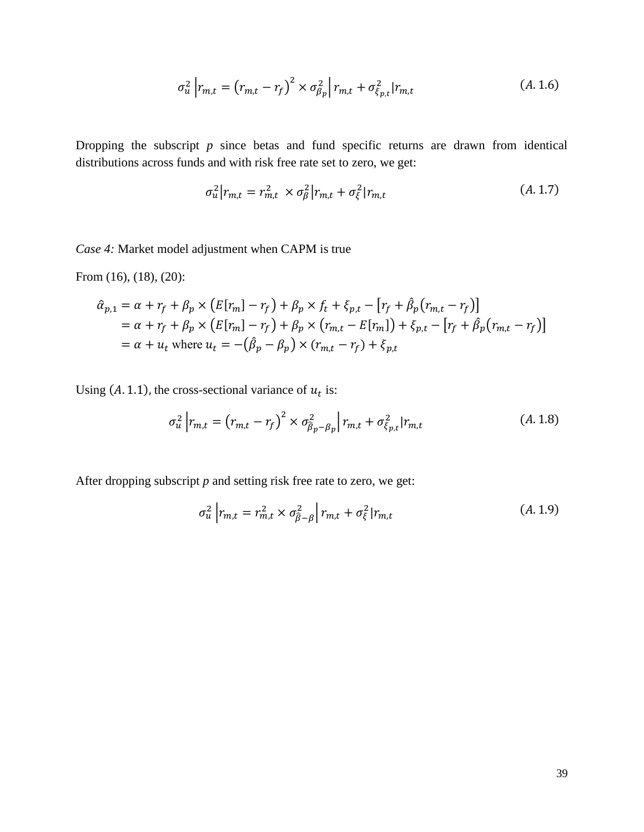$$
\sigma_u^2 \left| r_{m,t} = \left( r_{m,t} - r_f \right)^2 \times \sigma_{\beta_p}^2 \right| r_{m,t} + \sigma_{\xi_{p,t}}^2 | r_{m,t} \tag{A.1.6}
$$

Dropping the subscript *p* since betas and fund specific returns are drawn from identical distributions across funds and with risk free rate set to zero, we get:

$$
\sigma_u^2 | r_{m,t} = r_{m,t}^2 \times \sigma_\beta^2 | r_{m,t} + \sigma_\xi^2 | r_{m,t}
$$
\n(A. 1.7)

*Case 4:* Market model adjustment when CAPM is true

From (16), (18), (20):

$$
\hat{\alpha}_{p,1} = \alpha + r_f + \beta_p \times \left( E[r_m] - r_f \right) + \beta_p \times f_t + \xi_{p,t} - \left[ r_f + \hat{\beta}_p \left( r_{m,t} - r_f \right) \right]
$$
\n
$$
= \alpha + r_f + \beta_p \times \left( E[r_m] - r_f \right) + \beta_p \times \left( r_{m,t} - E[r_m] \right) + \xi_{p,t} - \left[ r_f + \hat{\beta}_p \left( r_{m,t} - r_f \right) \right]
$$
\n
$$
= \alpha + u_t \text{ where } u_t = -\left( \hat{\beta}_p - \beta_p \right) \times \left( r_{m,t} - r_f \right) + \xi_{p,t}
$$

Using (A. 1.1), the cross-sectional variance of  $u_t$  is:

$$
\sigma_u^2 \left| r_{m,t} = \left( r_{m,t} - r_f \right)^2 \times \sigma_{\beta_p - \beta_p}^2 \right| r_{m,t} + \sigma_{\xi_{p,t}}^2 \left| r_{m,t} \right| \tag{A.1.8}
$$

After dropping subscript *p* and setting risk free rate to zero, we get:

$$
\sigma_u^2 \left| r_{m,t} = r_{m,t}^2 \times \sigma_{\beta-\beta}^2 \right| r_{m,t} + \sigma_{\xi}^2 | r_{m,t} \tag{A.1.9}
$$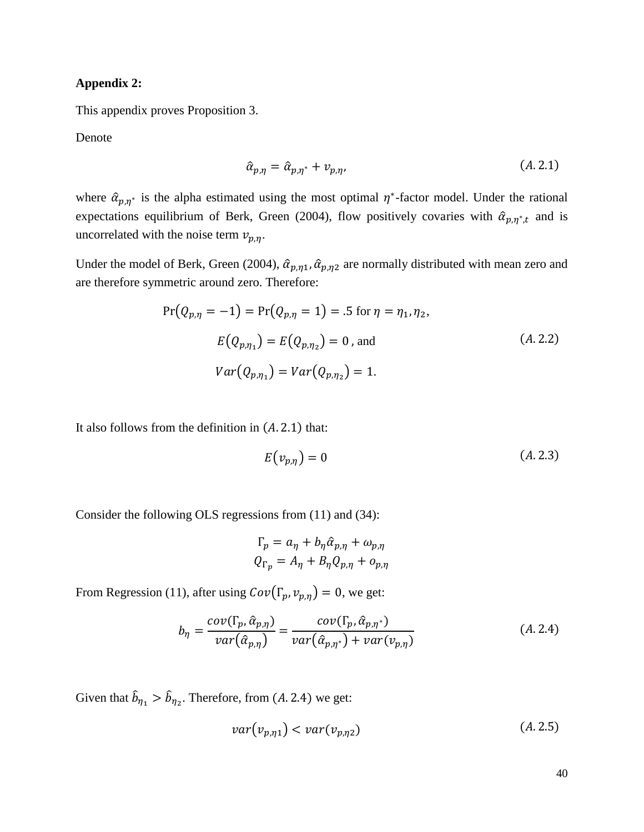#### **Appendix 2:**

This appendix proves Proposition 3.

Denote

$$
\hat{\alpha}_{p,\eta} = \hat{\alpha}_{p,\eta^*} + \nu_{p,\eta},\tag{A.2.1}
$$

where  $\hat{\alpha}_{p,\eta^*}$  is the alpha estimated using the most optimal  $\eta^*$ -factor model. Under the rational expectations equilibrium of Berk, Green (2004), flow positively covaries with  $\hat{\alpha}_{p,\eta^*,t}$  and is uncorrelated with the noise term  $v_{p,n}$ .

Under the model of Berk, Green (2004),  $\hat{\alpha}_{p,\eta 1}, \hat{\alpha}_{p,\eta 2}$  are normally distributed with mean zero and are therefore symmetric around zero. Therefore:

$$
Pr(Q_{p,\eta} = -1) = Pr(Q_{p,\eta} = 1) = .5 \text{ for } \eta = \eta_1, \eta_2,
$$
  
\n
$$
E(Q_{p,\eta_1}) = E(Q_{p,\eta_2}) = 0 \text{, and}
$$
  
\n
$$
Var(Q_{p,\eta_1}) = Var(Q_{p,\eta_2}) = 1.
$$
  
\n(A. 2.2)

It also follows from the definition in  $(A. 2.1)$  that:

$$
E(v_{p,\eta}) = 0 \tag{A.2.3}
$$

Consider the following OLS regressions from (11) and (34):

 $\ddot{\phantom{a}}$ 

$$
\Gamma_p = a_\eta + b_\eta \hat{\alpha}_{p,\eta} + \omega_{p,\eta}
$$

$$
Q_{\Gamma_p} = A_\eta + B_\eta Q_{p,\eta} + o_{p,\eta}
$$

From Regression (11), after using  $Cov(\Gamma_p, v_{p,\eta}) = 0$ , we get:

$$
b_{\eta} = \frac{cov(\Gamma_p, \hat{\alpha}_{p,\eta})}{var(\hat{\alpha}_{p,\eta})} = \frac{cov(\Gamma_p, \hat{\alpha}_{p,\eta^*})}{var(\hat{\alpha}_{p,\eta^*}) + var(\nu_{p,\eta})}
$$
(A. 2.4)

Given that  $\hat{b}_{\eta_1} > \hat{b}_{\eta_2}$ . Therefore, from (A. 2.4) we get:

$$
var(v_{p,\eta 1}) < var(v_{p,\eta 2}) \tag{A.2.5}
$$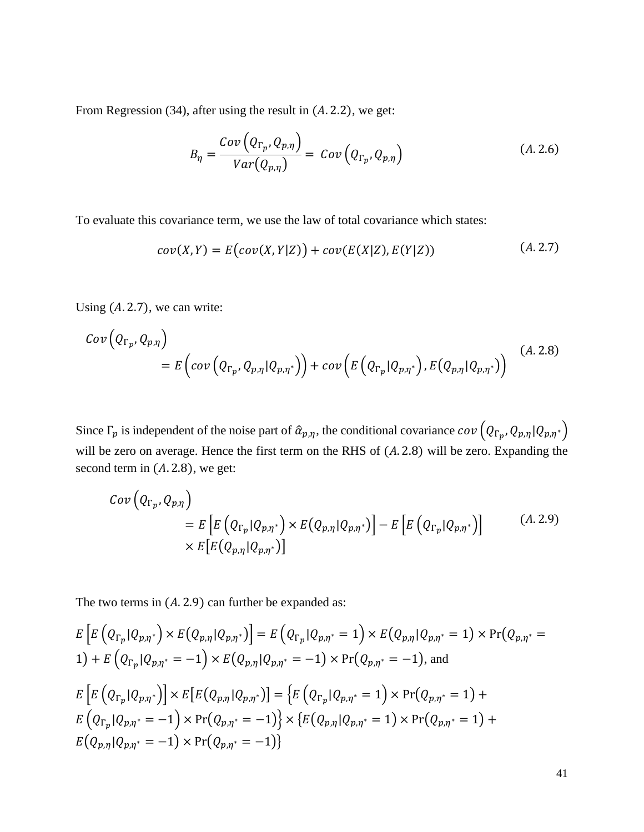From Regression  $(34)$ , after using the result in  $(A. 2.2)$ , we get:

$$
B_{\eta} = \frac{Cov\left(Q_{\Gamma_p}, Q_{p,\eta}\right)}{Var(Q_{p,\eta})} = Cov\left(Q_{\Gamma_p}, Q_{p,\eta}\right) \tag{A.2.6}
$$

To evaluate this covariance term, we use the law of total covariance which states:

$$
cov(X,Y) = E\big( cov(X,Y|Z)\big) + cov(E(X|Z), E(Y|Z))
$$
\n(A. 2.7)

Using  $(A. 2.7)$ , we can write:

$$
Cov\left(Q_{\Gamma_p}, Q_{p,\eta}\right) = E\left(cov\left(Q_{\Gamma_p}, Q_{p,\eta} | Q_{p,\eta^*}\right)\right) + cov\left(E\left(Q_{\Gamma_p} | Q_{p,\eta^*}\right), E\left(Q_{p,\eta} | Q_{p,\eta^*}\right)\right) \tag{A.2.8}
$$

Since  $\Gamma_p$  is independent of the noise part of  $\hat{\alpha}_{p,\eta}$ , the conditional covariance  $cov(Q_{\Gamma_p}, Q_{p,\eta} | Q_{p,\eta^*})$ will be zero on average. Hence the first term on the RHS of  $(A. 2.8)$  will be zero. Expanding the second term in  $(A. 2.8)$ , we get:

$$
Cov\left(Q_{\Gamma_p}, Q_{p,\eta}\right)
$$
  
=  $E\left[E\left(Q_{\Gamma_p}|Q_{p,\eta^*}\right) \times E\left(Q_{p,\eta}|Q_{p,\eta^*}\right)\right] - E\left[E\left(Q_{\Gamma_p}|Q_{p,\eta^*}\right)\right]$  (A. 2.9)  
 $\times E\left[E\left(Q_{p,\eta}|Q_{p,\eta^*}\right)\right]$ 

The two terms in  $(A. 2.9)$  can further be expanded as:

$$
E\left[E\left(Q_{\Gamma_p}|Q_{p,\eta^*}\right)\times E\left(Q_{p,\eta}|Q_{p,\eta^*}\right)\right] = E\left(Q_{\Gamma_p}|Q_{p,\eta^*}=1\right)\times E\left(Q_{p,\eta}|Q_{p,\eta^*}=1\right)\times \Pr(Q_{p,\eta^*}=1)
$$
  
\n
$$
+ E\left(Q_{\Gamma_p}|Q_{p,\eta^*}=-1\right)\times E\left(Q_{p,\eta}|Q_{p,\eta^*}=-1\right)\times \Pr(Q_{p,\eta^*}=-1),
$$
 and  
\n
$$
E\left[E\left(Q_{\Gamma_p}|Q_{p,\eta^*}\right)\right]\times E\left[E\left(Q_{p,\eta}|Q_{p,\eta^*}\right)\right] = \left\{E\left(Q_{\Gamma_p}|Q_{p,\eta^*}=1\right)\times \Pr(Q_{p,\eta^*}=1)+
$$
  
\n
$$
E\left(Q_{\Gamma_p}|Q_{p,\eta^*}=-1\right)\times \Pr(Q_{p,\eta^*}=-1)\right\} \times \left\{E\left(Q_{p,\eta}|Q_{p,\eta^*}=1\right)\times \Pr(Q_{p,\eta^*}=1)+
$$
  
\n
$$
E\left(Q_{p,\eta}|Q_{p,\eta^*}=-1\right)\times \Pr(Q_{p,\eta^*}=-1)\right\}
$$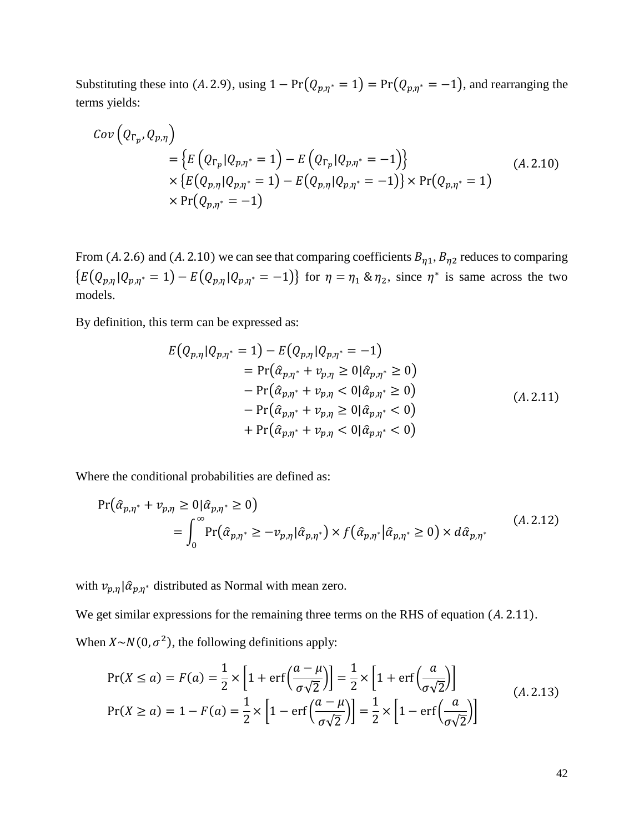Substituting these into (A. 2.9), using  $1 - Pr(Q_{p,\eta^*} = 1) = Pr(Q_{p,\eta^*} = -1)$ , and rearranging the terms yields:

$$
Cov\left(Q_{\Gamma_p}, Q_{p,\eta}\right) = \left\{ E\left(Q_{\Gamma_p} | Q_{p,\eta^*} = 1\right) - E\left(Q_{\Gamma_p} | Q_{p,\eta^*} = -1\right) \right\} \\ \times \left\{ E\left(Q_{p,\eta} | Q_{p,\eta^*} = 1\right) - E\left(Q_{p,\eta} | Q_{p,\eta^*} = -1\right) \right\} \times \Pr\left(Q_{p,\eta^*} = 1\right) \\ \times \Pr\left(Q_{p,\eta^*} = -1\right) \tag{A.2.10}
$$

From (A. 2.6) and (A. 2.10) we can see that comparing coefficients  $B_{\eta 1}$ ,  $B_{\eta 2}$  reduces to comparing  ${E(Q_{p,\eta}|Q_{p,\eta^*}=1)-E(Q_{p,\eta}|Q_{p,\eta^*}=-1)}$  for  $\eta=\eta_1\otimes\eta_2$ , since  $\eta^*$  is same across the two models.

By definition, this term can be expressed as:

$$
E(Q_{p,\eta}|Q_{p,\eta^*} = 1) - E(Q_{p,\eta}|Q_{p,\eta^*} = -1)
$$
  
= Pr( $\hat{\alpha}_{p,\eta^*} + \nu_{p,\eta} \ge 0$ | $\hat{\alpha}_{p,\eta^*} \ge 0$ )  
- Pr( $\hat{\alpha}_{p,\eta^*} + \nu_{p,\eta} < 0$ | $\hat{\alpha}_{p,\eta^*} \ge 0$ )  
- Pr( $\hat{\alpha}_{p,\eta^*} + \nu_{p,\eta} \ge 0$ | $\hat{\alpha}_{p,\eta^*} < 0$ )  
+ Pr( $\hat{\alpha}_{p,\eta^*} + \nu_{p,\eta} < 0$ | $\hat{\alpha}_{p,\eta^*} < 0$ ) (A. 2.11)

Where the conditional probabilities are defined as:

$$
\Pr(\hat{\alpha}_{p,\eta^*} + v_{p,\eta} \ge 0 | \hat{\alpha}_{p,\eta^*} \ge 0)
$$
\n
$$
= \int_0^\infty \Pr(\hat{\alpha}_{p,\eta^*} \ge -v_{p,\eta} | \hat{\alpha}_{p,\eta^*}) \times f(\hat{\alpha}_{p,\eta^*} | \hat{\alpha}_{p,\eta^*} \ge 0) \times d\hat{\alpha}_{p,\eta^*}
$$
\n(A. 2.12)

with  $v_{p,\eta}$  |  $\hat{\alpha}_{p,\eta^*}$  distributed as Normal with mean zero.

We get similar expressions for the remaining three terms on the RHS of equation  $(A.2.11)$ . When  $X \sim N(0, \sigma^2)$ , the following definitions apply:

$$
\Pr(X \le a) = F(a) = \frac{1}{2} \times \left[ 1 + \text{erf}\left(\frac{a - \mu}{\sigma\sqrt{2}}\right) \right] = \frac{1}{2} \times \left[ 1 + \text{erf}\left(\frac{a}{\sigma\sqrt{2}}\right) \right]
$$
\n
$$
\Pr(X \ge a) = 1 - F(a) = \frac{1}{2} \times \left[ 1 - \text{erf}\left(\frac{a - \mu}{\sigma\sqrt{2}}\right) \right] = \frac{1}{2} \times \left[ 1 - \text{erf}\left(\frac{a}{\sigma\sqrt{2}}\right) \right]
$$
\n(A. 2.13)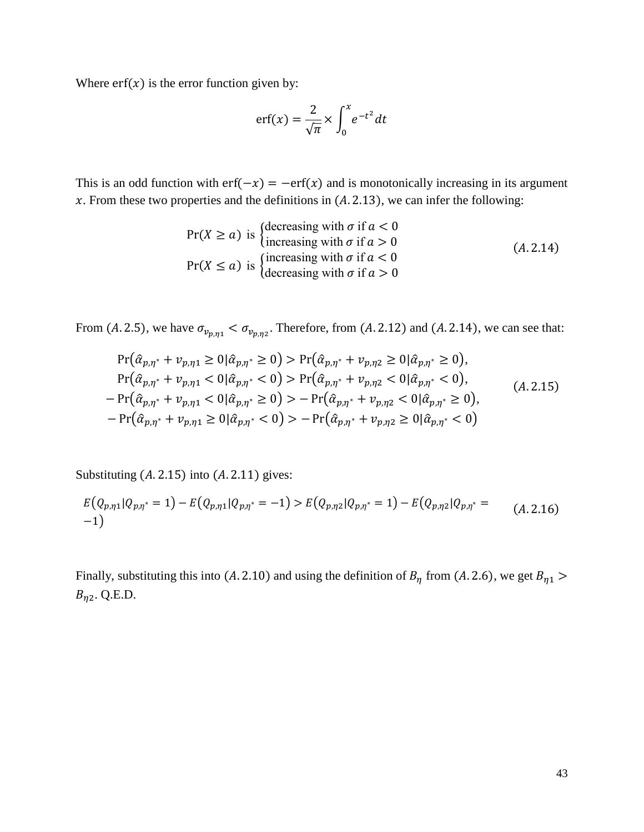Where  $erf(x)$  is the error function given by:

$$
\mathrm{erf}(x) = \frac{2}{\sqrt{\pi}} \times \int_0^x e^{-t^2} dt
$$

This is an odd function with  $erf(-x) = -erf(x)$  and is monotonically increasing in its argument  $x$ . From these two properties and the definitions in (A. 2.13), we can infer the following:

$$
Pr(X \ge a) \text{ is } \begin{cases} \text{decreasing with } \sigma \text{ if } a < 0 \\ \text{increasing with } \sigma \text{ if } a > 0 \end{cases} \tag{A.2.14}
$$
\n
$$
Pr(X \le a) \text{ is } \begin{cases} \text{increasing with } \sigma \text{ if } a < 0 \\ \text{decreasing with } \sigma \text{ if } a > 0 \end{cases}
$$

From (A. 2.5), we have  $\sigma_{v_{p,\eta_1}} < \sigma_{v_{p,\eta_2}}$ . Therefore, from (A. 2.12) and (A. 2.14), we can see that:

$$
\Pr(\hat{\alpha}_{p,\eta^*} + v_{p,\eta_1} \ge 0 | \hat{\alpha}_{p,\eta^*} \ge 0) > \Pr(\hat{\alpha}_{p,\eta^*} + v_{p,\eta_2} \ge 0 | \hat{\alpha}_{p,\eta^*} \ge 0),
$$
  
\n
$$
\Pr(\hat{\alpha}_{p,\eta^*} + v_{p,\eta_1} < 0 | \hat{\alpha}_{p,\eta^*} < 0) > \Pr(\hat{\alpha}_{p,\eta^*} + v_{p,\eta_2} < 0 | \hat{\alpha}_{p,\eta^*} < 0),
$$
  
\n
$$
-\Pr(\hat{\alpha}_{p,\eta^*} + v_{p,\eta_1} < 0 | \hat{\alpha}_{p,\eta^*} \ge 0) > -\Pr(\hat{\alpha}_{p,\eta^*} + v_{p,\eta_2} < 0 | \hat{\alpha}_{p,\eta^*} \ge 0),
$$
  
\n
$$
-\Pr(\hat{\alpha}_{p,\eta^*} + v_{p,\eta_1} \ge 0 | \hat{\alpha}_{p,\eta^*} < 0) > -\Pr(\hat{\alpha}_{p,\eta^*} + v_{p,\eta_2} \ge 0 | \hat{\alpha}_{p,\eta^*} < 0)
$$
\n(4.2.15)

Substituting  $(A. 2.15)$  into  $(A. 2.11)$  gives:

$$
E(Q_{p,\eta1}|Q_{p,\eta^*}=1)-E(Q_{p,\eta1}|Q_{p,\eta^*}=-1)>E(Q_{p,\eta2}|Q_{p,\eta^*}=1)-E(Q_{p,\eta2}|Q_{p,\eta^*}=(A.2.16)
$$
  
-1)

Finally, substituting this into (A. 2.10) and using the definition of  $B<sub>\eta</sub>$  from (A. 2.6), we get  $B<sub>\eta1</sub>$  >  $B_{\eta 2}$ . Q.E.D.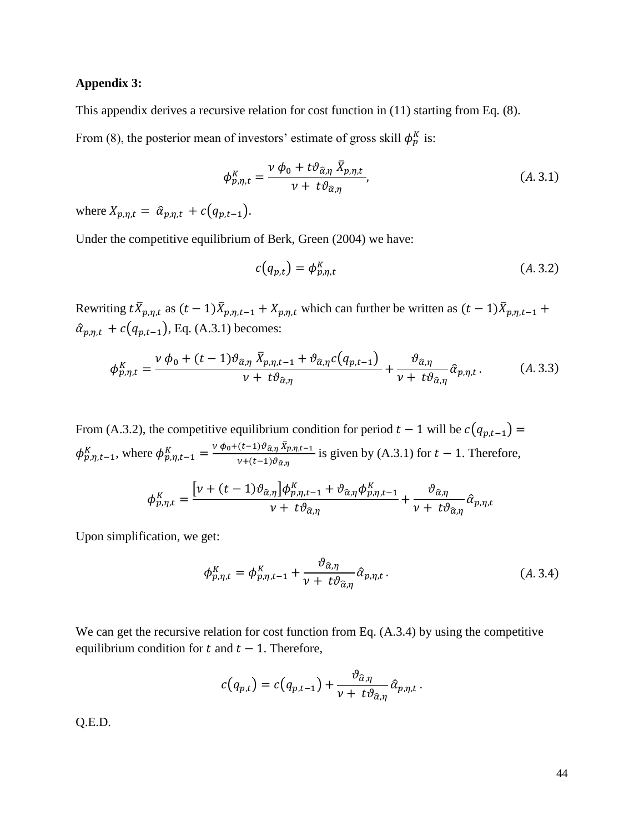#### **Appendix 3:**

This appendix derives a recursive relation for cost function in (11) starting from Eq. (8).

From (8), the posterior mean of investors' estimate of gross skill  $\phi_p^K$  is:

$$
\phi_{p,\eta,t}^{K} = \frac{\nu \phi_0 + t \vartheta_{\hat{\alpha},\eta} \,\bar{X}_{p,\eta,t}}{\nu + t \vartheta_{\hat{\alpha},\eta}},\tag{A.3.1}
$$

where  $X_{p,\eta,t} = \hat{\alpha}_{p,\eta,t} + c(q_{p,t-1}).$ 

Under the competitive equilibrium of Berk, Green (2004) we have:

$$
c(q_{p,t}) = \phi_{p,\eta,t}^K
$$
 (A. 3.2)

Rewriting  $t\bar{X}_{p,\eta,t}$  as  $(t-1)\bar{X}_{p,\eta,t-1} + X_{p,\eta,t}$  which can further be written as  $(t-1)\bar{X}_{p,\eta,t-1}$  +  $\hat{\alpha}_{p,\eta,t} + c(q_{p,t-1}),$  Eq. (A.3.1) becomes:

$$
\phi_{p,\eta,t}^{K} = \frac{\nu \ \phi_0 + (t-1)\vartheta_{\widehat{\alpha},\eta} \ \bar{X}_{p,\eta,t-1} + \vartheta_{\widehat{\alpha},\eta} c(q_{p,t-1})}{\nu + t\vartheta_{\widehat{\alpha},\eta}} + \frac{\vartheta_{\widehat{\alpha},\eta}}{\nu + t\vartheta_{\widehat{\alpha},\eta}} \widehat{\alpha}_{p,\eta,t}.
$$
 (A.3.3)

From (A.3.2), the competitive equilibrium condition for period  $t - 1$  will be  $c(q_{p,t-1}) =$  $\phi_{p,\eta,t-1}^K$ , where  $\phi_{p,\eta,t-1}^K = \frac{\nu \phi_0 + (t-1)\vartheta_{\hat{\alpha},\eta} \bar{X}_{p,\eta,t-1}}{\nu + (t-1)\vartheta_{\hat{\alpha},\eta}}$  $\frac{(\mathcal{C}^{-1}) \sigma_{\alpha,\eta} \Lambda_{p,\eta,t-1}}{\nu + (t-1) \sigma_{\hat{\alpha},\eta}}$  is given by (A.3.1) for  $t-1$ . Therefore,

$$
\phi_{p,\eta,t}^K = \frac{\left[\nu + (t-1)\vartheta_{\widehat{\alpha},\eta}\right] \phi_{p,\eta,t-1}^K + \vartheta_{\widehat{\alpha},\eta} \phi_{p,\eta,t-1}^K}{\nu + t \vartheta_{\widehat{\alpha},\eta}} + \frac{\vartheta_{\widehat{\alpha},\eta}}{\nu + t \vartheta_{\widehat{\alpha},\eta}} \widehat{\alpha}_{p,\eta,t}
$$

Upon simplification, we get:

$$
\phi_{p,\eta,t}^K = \phi_{p,\eta,t-1}^K + \frac{\vartheta_{\hat{\alpha},\eta}}{\nu + t\vartheta_{\hat{\alpha},\eta}} \hat{\alpha}_{p,\eta,t} \,. \tag{A.3.4}
$$

We can get the recursive relation for cost function from Eq.  $(A.3.4)$  by using the competitive equilibrium condition for  $t$  and  $t - 1$ . Therefore,

$$
c(q_{p,t}) = c(q_{p,t-1}) + \frac{\vartheta_{\widehat{\alpha},\eta}}{\nu + t\vartheta_{\widehat{\alpha},\eta}}\widehat{\alpha}_{p,\eta,t}.
$$

Q.E.D.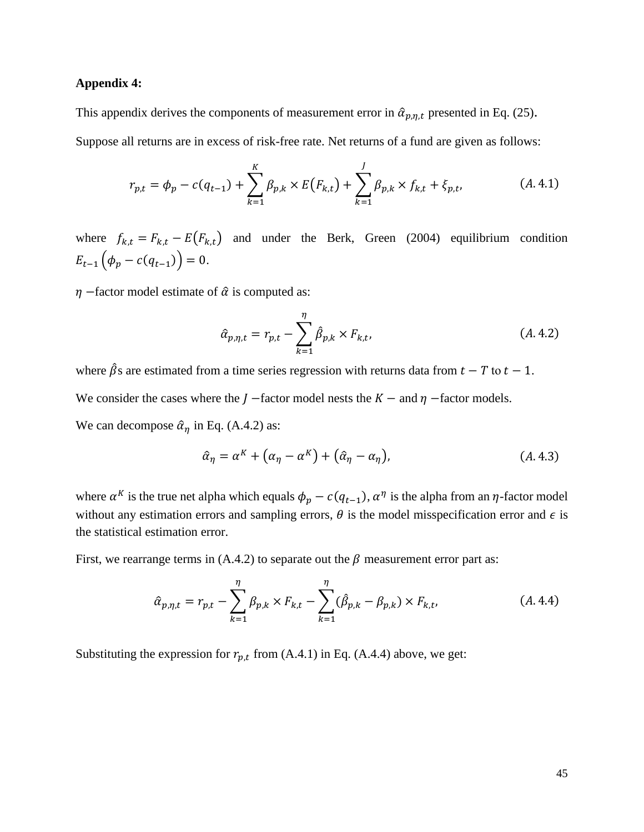#### **Appendix 4:**

This appendix derives the components of measurement error in  $\hat{\alpha}_{p,\eta,t}$  presented in Eq. (25).

Suppose all returns are in excess of risk-free rate. Net returns of a fund are given as follows:

$$
r_{p,t} = \phi_p - c(q_{t-1}) + \sum_{k=1}^K \beta_{p,k} \times E(F_{k,t}) + \sum_{k=1}^J \beta_{p,k} \times f_{k,t} + \xi_{p,t},
$$
 (A.4.1)

where  $f_{k,t} = F_{k,t} - E(F_{k,t})$  and under the Berk, Green (2004) equilibrium condition  $E_{t-1}(\phi_p - c(q_{t-1})) = 0.$ 

 $\eta$  –factor model estimate of  $\hat{\alpha}$  is computed as:

$$
\hat{\alpha}_{p,\eta,t} = r_{p,t} - \sum_{k=1}^{\eta} \hat{\beta}_{p,k} \times F_{k,t},
$$
\n(A.4.2)

where  $\hat{\beta}$ s are estimated from a time series regression with returns data from  $t - T$  to  $t - 1$ . We consider the cases where the  $J$  –factor model nests the  $K$  – and  $\eta$  –factor models. We can decompose  $\hat{\alpha}_\eta$  in Eq. (A.4.2) as:

$$
\hat{\alpha}_{\eta} = \alpha^{K} + (\alpha_{\eta} - \alpha^{K}) + (\hat{\alpha}_{\eta} - \alpha_{\eta}), \qquad (A.4.3)
$$

where  $\alpha^K$  is the true net alpha which equals  $\phi_p - c(q_{t-1}), \alpha^{\eta}$  is the alpha from an  $\eta$ -factor model without any estimation errors and sampling errors,  $\theta$  is the model misspecification error and  $\epsilon$  is the statistical estimation error.

First, we rearrange terms in (A.4.2) to separate out the  $\beta$  measurement error part as:

$$
\hat{\alpha}_{p,\eta,t} = r_{p,t} - \sum_{k=1}^{\eta} \beta_{p,k} \times F_{k,t} - \sum_{k=1}^{\eta} (\hat{\beta}_{p,k} - \beta_{p,k}) \times F_{k,t},
$$
\n(A.4.4)

Substituting the expression for  $r_{p,t}$  from (A.4.1) in Eq. (A.4.4) above, we get: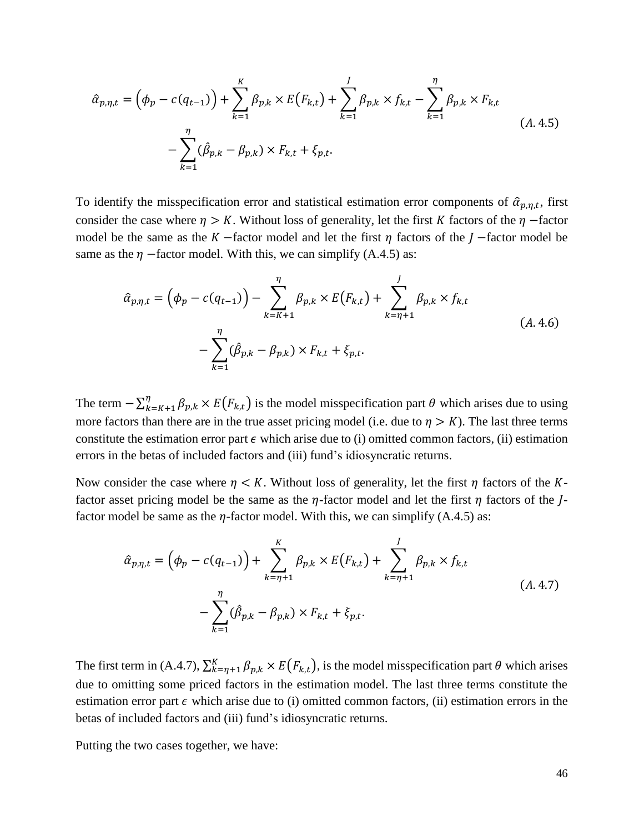$$
\hat{\alpha}_{p,\eta,t} = \left(\phi_p - c(q_{t-1})\right) + \sum_{k=1}^K \beta_{p,k} \times E(F_{k,t}) + \sum_{k=1}^J \beta_{p,k} \times f_{k,t} - \sum_{k=1}^{\eta} \beta_{p,k} \times F_{k,t} \n- \sum_{k=1}^{\eta} (\hat{\beta}_{p,k} - \beta_{p,k}) \times F_{k,t} + \xi_{p,t}.
$$
\n(A.4.5)

To identify the misspecification error and statistical estimation error components of  $\hat{\alpha}_{p,\eta,t}$ , first consider the case where  $\eta > K$ . Without loss of generality, let the first K factors of the  $\eta$  –factor model be the same as the  $K$  –factor model and let the first  $\eta$  factors of the  $J$  –factor model be same as the  $\eta$  –factor model. With this, we can simplify (A.4.5) as:

$$
\hat{\alpha}_{p,\eta,t} = \left(\phi_p - c(q_{t-1})\right) - \sum_{k=K+1}^{\eta} \beta_{p,k} \times E(F_{k,t}) + \sum_{k=\eta+1}^{J} \beta_{p,k} \times f_{k,t} \n- \sum_{k=1}^{\eta} (\hat{\beta}_{p,k} - \beta_{p,k}) \times F_{k,t} + \xi_{p,t}.
$$
\n(A.4.6)

The term  $-\sum_{k=K+1}^{n} \beta_{p,k} \times E\big(F_{k,t}\big)$  $E_{k=K+1}^{n} \beta_{p,k} \times E(F_{k,t})$  is the model misspecification part  $\theta$  which arises due to using more factors than there are in the true asset pricing model (i.e. due to  $\eta > K$ ). The last three terms constitute the estimation error part  $\epsilon$  which arise due to (i) omitted common factors, (ii) estimation errors in the betas of included factors and (iii) fund's idiosyncratic returns.

Now consider the case where  $\eta < K$ . Without loss of generality, let the first  $\eta$  factors of the Kfactor asset pricing model be the same as the  $\eta$ -factor model and let the first  $\eta$  factors of the  $I$ factor model be same as the  $\eta$ -factor model. With this, we can simplify (A.4.5) as:

$$
\hat{\alpha}_{p,\eta,t} = (\phi_p - c(q_{t-1})) + \sum_{k=\eta+1}^K \beta_{p,k} \times E(F_{k,t}) + \sum_{k=\eta+1}^J \beta_{p,k} \times f_{k,t} \n- \sum_{k=1}^\eta (\hat{\beta}_{p,k} - \beta_{p,k}) \times F_{k,t} + \xi_{p,t}.
$$
\n(A.4.7)

The first term in (A.4.7),  $\sum_{k=\eta+1}^{K} \beta_{p,k} \times E(F_{k,t})$ , is the model misspecification part  $\theta$  which arises due to omitting some priced factors in the estimation model. The last three terms constitute the estimation error part  $\epsilon$  which arise due to (i) omitted common factors, (ii) estimation errors in the betas of included factors and (iii) fund's idiosyncratic returns.

Putting the two cases together, we have: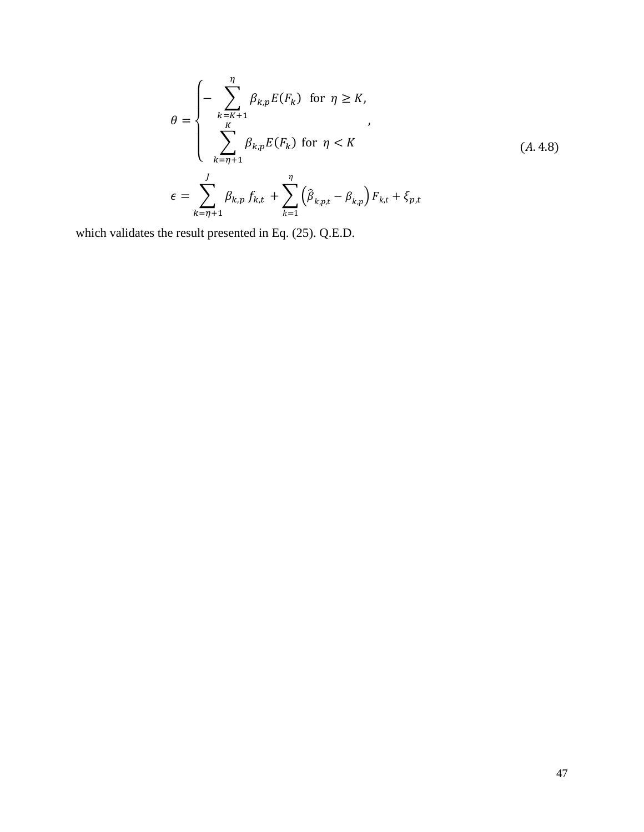$$
\theta = \begin{cases}\n-\sum_{k=K+1}^{\eta} \beta_{k,p} E(F_k) & \text{for } \eta \ge K, \\
\sum_{k=\eta+1}^{K} \beta_{k,p} E(F_k) & \text{for } \eta < K\n\end{cases}
$$
\n
$$
\epsilon = \sum_{k=\eta+1}^{J} \beta_{k,p} f_{k,t} + \sum_{k=1}^{\eta} \left( \hat{\beta}_{k,p,t} - \beta_{k,p} \right) F_{k,t} + \xi_{p,t}
$$
\n(A.4.8)

which validates the result presented in Eq. (25). Q.E.D.